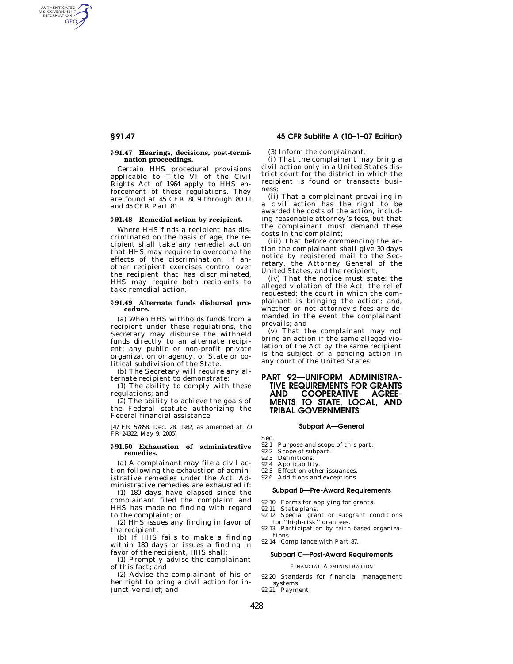AUTHENTICATED<br>U.S. GOVERNMENT<br>INFORMATION **GPO** 

### **§ 91.47 Hearings, decisions, post-termination proceedings.**

Certain HHS procedural provisions applicable to Title VI of the Civil Rights Act of 1964 apply to HHS enforcement of these regulations. They are found at 45 CFR 80.9 through 80.11 and 45 CFR Part 81.

### **§ 91.48 Remedial action by recipient.**

Where HHS finds a recipient has discriminated on the basis of age, the recipient shall take any remedial action that HHS may require to overcome the effects of the discrimination. If another recipient exercises control over the recipient that has discriminated, HHS may require both recipients to take remedial action.

### **§ 91.49 Alternate funds disbursal procedure.**

(a) When HHS withholds funds from a recipient under these regulations, the Secretary may disburse the withheld funds directly to an alternate recipient: any public or non-profit private organization or agency, or State or political subdivision of the State.

(b) The Secretary will require any alternate recipient to demonstrate:

(1) The ability to comply with these regulations; and

(2) The ability to achieve the goals of the Federal statute authorizing the Federal financial assistance.

[47 FR 57858, Dec. 28, 1982, as amended at 70 FR 24322, May 9, 2005]

### **§ 91.50 Exhaustion of administrative remedies.**

(a) A complainant may file a civil action following the exhaustion of administrative remedies under the Act. Administrative remedies are exhausted if:

(1) 180 days have elapsed since the complainant filed the complaint and HHS has made no finding with regard to the complaint; or

(2) HHS issues any finding in favor of the recipient.

(b) If HHS fails to make a finding within 180 days or issues a finding in favor of the recipient, HHS shall:

(1) Promptly advise the complainant of this fact; and

(2) Advise the complainant of his or her right to bring a civil action for injunctive relief; and

### **§ 91.47 45 CFR Subtitle A (10–1–07 Edition)**

(3) Inform the complainant:

(i) That the complainant may bring a civil action only in a United States district court for the district in which the recipient is found or transacts business;

(ii) That a complainant prevailing in a civil action has the right to be awarded the costs of the action, including reasonable attorney's fees, but that the complainant must demand these costs in the complaint;

(iii) That before commencing the action the complainant shall give 30 days notice by registered mail to the Secretary, the Attorney General of the United States, and the recipient;

(iv) That the notice must state: the alleged violation of the Act; the relief requested; the court in which the complainant is bringing the action; and, whether or not attorney's fees are demanded in the event the complainant prevails; and

(v) That the complainant may not bring an action if the same alleged violation of the Act by the same recipient is the subject of a pending action in any court of the United States.

### **PART 92—UNIFORM ADMINISTRA-TIVE REQUIREMENTS FOR GRANTS AND COOPERATIVE AGREE-MENTS TO STATE, LOCAL, AND TRIBAL GOVERNMENTS**

### **Subpart A—General**

Sec.

- 92.1 Purpose and scope of this part.<br>92.2 Scope of subpart.
- Scope of subpart.
- 92.3 Definitions.<br>92.4 Applicabilit
- Applicability
- 92.5 Effect on other issuances.
- 92.6 Additions and exceptions.

### **Subpart B—Pre-Award Requirements**

- 92.10 Forms for applying for grants.
- 92.11 State plans.
- 92.12 Special grant or subgrant conditions for ''high-risk'' grantees.
- 92.13 Participation by faith-based organizations.
- 92.14 Compliance with Part 87.

### **Subpart C—Post-Award Requirements**

### FINANCIAL ADMINISTRATION

92.20 Standards for financial management systems.

92.21 Payment.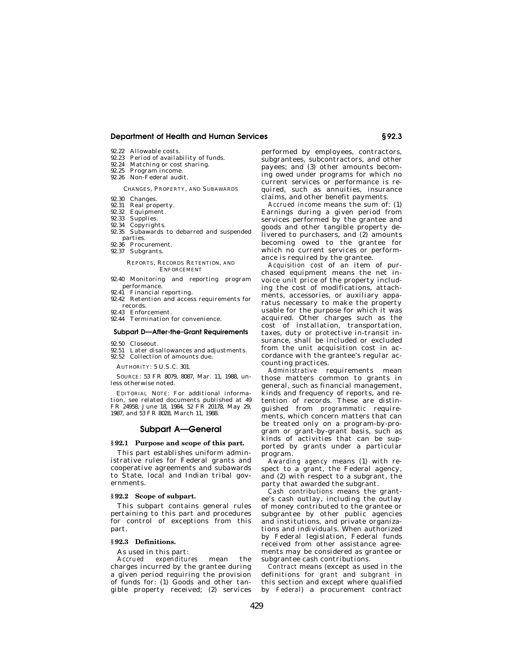- 92.22 Allowable costs.<br>92.23 Period of availa
- 92.23 Period of availability of funds.<br>92.24 Matching or cost sharing
- 92.24 Matching or cost sharing.<br>92.25 Program income Program income.
- 92.26 Non-Federal audit.

### CHANGES, PROPERTY, AND SUBAWARDS

- 92.30 Changes.
- 92.31 Real property.
- 92.32 Equipment.
- 92.33 Supplies.
- 92.34 Copyrights.
- 92.35 Subawards to debarred and suspended parties.
- 92.36 Procurement. 92.37 Subgrants.

# REPORTS, RECORDS RETENTION, AND

- ENFORCEMENT 92.40 Monitoring and reporting program performance.
- 92.41 Financial reporting.
- 92.42 Retention and access requirements for records.
- 92.43 Enforcement.
- 92.44 Termination for convenience.

# **Subpart D—After-the-Grant Requirements**

92.50 Closeout.

- 92.51 Later disallowances and adjustments.
- 92.52 Collection of amounts due.

AUTHORITY: 5 U.S.C. 301.

SOURCE: 53 FR 8079, 8087, Mar. 11, 1988, unless otherwise noted.

EDITORIAL NOTE: For additional information, see related documents published at 49 FR 24958, June 18, 1984, 52 FR 20178, May 29, 1987, and 53 FR 8028, March 11, 1988.

### **Subpart A—General**

### **§ 92.1 Purpose and scope of this part.**

This part establishes uniform administrative rules for Federal grants and cooperative agreements and subawards to State, local and Indian tribal governments.

### **§ 92.2 Scope of subpart.**

This subpart contains general rules pertaining to this part and procedures for control of exceptions from this part.

### **§ 92.3 Definitions.**

As used in this part:

*Accrued expenditures* mean the charges incurred by the grantee during a given period requiring the provision of funds for: (1) Goods and other tangible property received; (2) services performed by employees, contractors, subgrantees, subcontractors, and other payees; and (3) other amounts becoming owed under programs for which no current services or performance is required, such as annuities, insurance claims, and other benefit payments.

*Accrued income* means the sum of: (1) Earnings during a given period from services performed by the grantee and goods and other tangible property delivered to purchasers, and (2) amounts becoming owed to the grantee for which no current services or performance is required by the grantee.

*Acquisition cost* of an item of purchased equipment means the net invoice unit price of the property including the cost of modifications, attachments, accessories, or auxiliary apparatus necessary to make the property usable for the purpose for which it was acquired. Other charges such as the cost of installation, transportation, taxes, duty or protective in-transit insurance, shall be included or excluded from the unit acquisition cost in accordance with the grantee's regular accounting practices.

*Administrative* requirements mean those matters common to grants in general, such as financial management, kinds and frequency of reports, and retention of records. These are distinguished from *programmatic* requirements, which concern matters that can be treated only on a program-by-program or grant-by-grant basis, such as kinds of activities that can be supported by grants under a particular program.

*Awarding agency* means (1) with respect to a grant, the Federal agency, and (2) with respect to a subgrant, the party that awarded the subgrant.

*Cash contributions* means the grantee's cash outlay, including the outlay of money contributed to the grantee or subgrantee by other public agencies and institutions, and private organizations and individuals. When authorized by Federal legislation, Federal funds received from other assistance agreements may be considered as grantee or subgrantee cash contributions.

*Contract* means (except as used in the definitions for *grant* and *subgrant* in this section and except where qualified by *Federal*) a procurement contract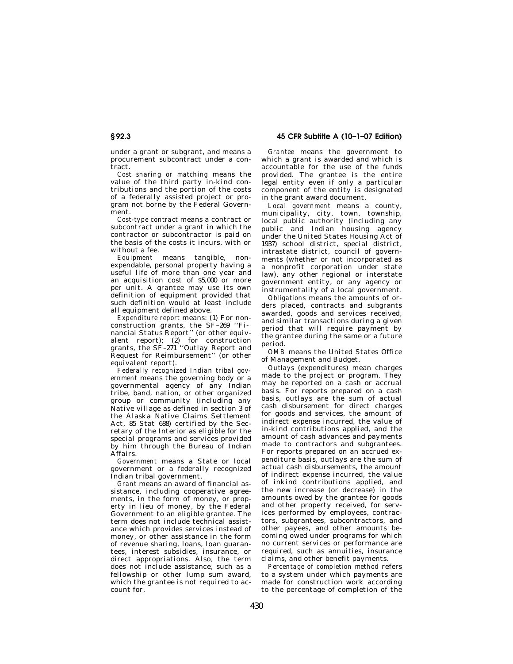under a grant or subgrant, and means a procurement subcontract under a contract.

*Cost sharing or matching* means the value of the third party in-kind contributions and the portion of the costs of a federally assisted project or program not borne by the Federal Government.

*Cost-type contract* means a contract or subcontract under a grant in which the contractor or subcontractor is paid on the basis of the costs it incurs, with or without a fee.

*Equipment* means tangible, nonexpendable, personal property having a useful life of more than one year and an acquisition cost of \$5,000 or more per unit. A grantee may use its own definition of equipment provided that such definition would at least include all equipment defined above.

*Expenditure report* means: (1) For nonconstruction grants, the SF–269 ''Financial Status Report'' (or other equivalent report); (2) for construction grants, the SF–271 ''Outlay Report and Request for Reimbursement'' (or other equivalent report).

*Federally recognized Indian tribal government* means the governing body or a governmental agency of any Indian tribe, band, nation, or other organized group or community (including any Native village as defined in section 3 of the Alaska Native Claims Settlement Act, 85 Stat 688) certified by the Secretary of the Interior as eligible for the special programs and services provided by him through the Bureau of Indian Affairs.

*Government* means a State or local government or a federally recognized Indian tribal government.

*Grant* means an award of financial assistance, including cooperative agreements, in the form of money, or property in lieu of money, by the Federal Government to an eligible grantee. The term does not include technical assistance which provides services instead of money, or other assistance in the form of revenue sharing, loans, loan guarantees, interest subsidies, insurance, or direct appropriations. Also, the term does not include assistance, such as a fellowship or other lump sum award, which the grantee is not required to account for.

*Grantee* means the government to which a grant is awarded and which is accountable for the use of the funds provided. The grantee is the entire legal entity even if only a particular component of the entity is designated in the grant award document.

*Local government* means a county, municipality, city, town, township, local public authority (including any public and Indian housing agency under the United States Housing Act of 1937) school district, special district, intrastate district, council of governments (whether or not incorporated as a nonprofit corporation under state law), any other regional or interstate government entity, or any agency or instrumentality of a local government.

*Obligations* means the amounts of orders placed, contracts and subgrants awarded, goods and services received, and similar transactions during a given period that will require payment by .<br>the grantee during the same or a future period.

*OMB* means the United States Office of Management and Budget.

*Outlays* (expenditures) mean charges made to the project or program. They may be reported on a cash or accrual basis. For reports prepared on a cash basis, outlays are the sum of actual cash disbursement for direct charges for goods and services, the amount of indirect expense incurred, the value of in-kind contributions applied, and the amount of cash advances and payments made to contractors and subgrantees. For reports prepared on an accrued expenditure basis, outlays are the sum of actual cash disbursements, the amount of indirect expense incurred, the value of inkind contributions applied, and the new increase (or decrease) in the amounts owed by the grantee for goods and other property received, for services performed by employees, contractors, subgrantees, subcontractors, and other payees, and other amounts becoming owed under programs for which no current services or performance are required, such as annuities, insurance claims, and other benefit payments.

*Percentage of completion method* refers to a system under which payments are made for construction work according to the percentage of completion of the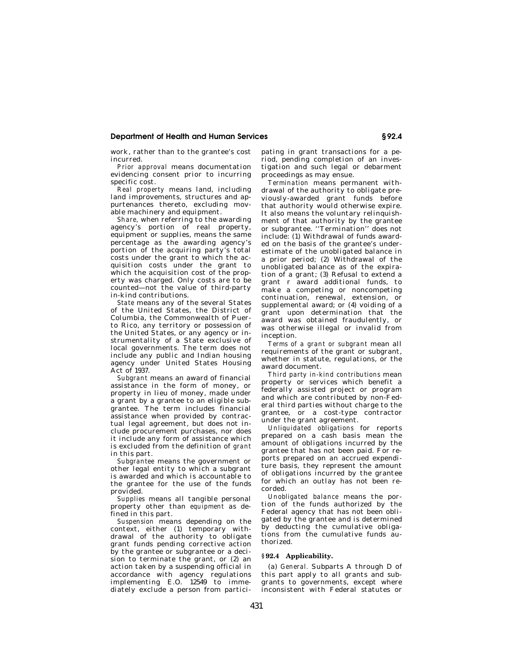work, rather than to the grantee's cost incurred.

*Prior approval* means documentation evidencing consent prior to incurring specific cost.

*Real property* means land, including land improvements, structures and appurtenances thereto, excluding mov-.<br>able machinery and equipment.

*Share,* when referring to the awarding agency's portion of real property, equipment or supplies, means the same percentage as the awarding agency's portion of the acquiring party's total costs under the grant to which the acquisition costs under the grant to which the acquisition cost of the property was charged. Only costs are to be counted—not the value of third-party in-kind contributions.

*State* means any of the several States of the United States, the District of Columbia, the Commonwealth of Puerto Rico, any territory or possession of the United States, or any agency or instrumentality of a State exclusive of local governments. The term does not include any public and Indian housing agency under United States Housing Act of 1937.

*Subgrant* means an award of financial assistance in the form of money, or property in lieu of money, made under a grant by a grantee to an eligible subgrantee. The term includes financial assistance when provided by contractual legal agreement, but does not include procurement purchases, nor does it include any form of assistance which is excluded from the definition of *grant*  in this part.

*Subgrantee* means the government or other legal entity to which a subgrant is awarded and which is accountable to the grantee for the use of the funds provided.

*Supplies* means all tangible personal property other than *equipment* as defined in this part.

*Suspension* means depending on the context, either (1) temporary withdrawal of the authority to obligate grant funds pending corrective action by the grantee or subgrantee or a decision to terminate the grant, or (2) an action taken by a suspending official in accordance with agency regulations implementing E.O. 12549 to immediately exclude a person from participating in grant transactions for a period, pending completion of an investigation and such legal or debarment proceedings as may ensue.

*Termination* means permanent withdrawal of the authority to obligate previously-awarded grant funds before that authority would otherwise expire. It also means the voluntary relinquishment of that authority by the grantee or subgrantee. ''Termination'' does not include: (1) Withdrawal of funds awarded on the basis of the grantee's underestimate of the unobligated balance in a prior period; (2) Withdrawal of the unobligated balance as of the expiration of a grant; (3) Refusal to extend a grant r award additional funds, to make a competing or noncompeting continuation, renewal, extension, or supplemental award; or (4) voiding of a grant upon determination that the award was obtained fraudulently, or was otherwise illegal or invalid from inception.

*Terms of a grant or subgrant* mean all requirements of the grant or subgrant, whether in statute, regulations, or the award document.

*Third party in-kind contributions* mean property or services which benefit a federally assisted project or program and which are contributed by non-Federal third parties without charge to the grantee, or a cost-type contractor under the grant agreement.

*Unliquidated obligations* for reports prepared on a cash basis mean the amount of obligations incurred by the grantee that has not been paid. For reports prepared on an accrued expenditure basis, they represent the amount of obligations incurred by the grantee for which an outlay has not been recorded.

*Unobligated balance* means the portion of the funds authorized by the Federal agency that has not been obligated by the grantee and is determined by deducting the cumulative obligations from the cumulative funds authorized.

### **§ 92.4 Applicability.**

(a) *General.* Subparts A through D of this part apply to all grants and subgrants to governments, except where inconsistent with Federal statutes or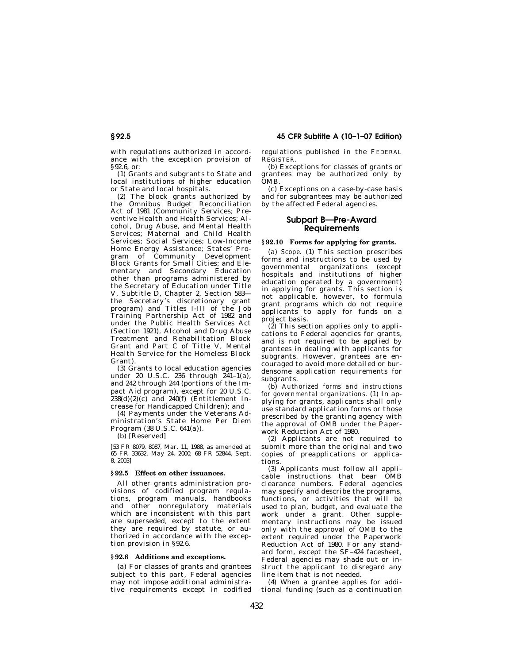with regulations authorized in accordance with the exception provision of §92.6, or:

(1) Grants and subgrants to State and local institutions of higher education or State and local hospitals.

(2) The block grants authorized by the Omnibus Budget Reconciliation Act of 1981 (Community Services; Preventive Health and Health Services; Alcohol, Drug Abuse, and Mental Health Services; Maternal and Child Health Services; Social Services; Low-Income Home Energy Assistance; States' Program of Community Development Block Grants for Small Cities; and Elementary and Secondary Education other than programs administered by the Secretary of Education under Title V, Subtitle D, Chapter 2, Section 583 the Secretary's discretionary grant program) and Titles I-III of the Job Training Partnership Act of 1982 and under the Public Health Services Act (Section 1921), Alcohol and Drug Abuse Treatment and Rehabilitation Block Grant and Part C of Title V, Mental Health Service for the Homeless Block Grant).

(3) Grants to local education agencies under 20 U.S.C. 236 through 241–1(a), and 242 through 244 (portions of the Impact Aid program), except for 20 U.S.C.  $238(d)(2)(c)$  and  $240(f)$  (Entitlement Increase for Handicapped Children); and

(4) Payments under the Veterans Administration's State Home Per Diem Program (38 U.S.C. 641(a)).

(b) [Reserved]

[53 FR 8079, 8087, Mar. 11, 1988, as amended at 65 FR 33632, May 24, 2000; 68 FR 52844, Sept. 8, 2003]

### **§ 92.5 Effect on other issuances.**

All other grants administration provisions of codified program regulations, program manuals, handbooks and other nonregulatory materials which are inconsistent with this part are superseded, except to the extent they are required by statute, or authorized in accordance with the exception provision in §92.6.

### **§ 92.6 Additions and exceptions.**

(a) For classes of grants and grantees subject to this part, Federal agencies may not impose additional administrative requirements except in codified regulations published in the FEDERAL REGISTER.

(b) Exceptions for classes of grants or grantees may be authorized only by OMB.

(c) Exceptions on a case-by-case basis and for subgrantees may be authorized by the affected Federal agencies.

### **Subpart B—Pre-Award Requirements**

### **§ 92.10 Forms for applying for grants.**

(a) *Scope.* (1) This section prescribes forms and instructions to be used by governmental organizations (except hospitals and institutions of higher education operated by a government) in applying for grants. This section is not applicable, however, to formula grant programs which do not require applicants to apply for funds on a project basis.

 $(2)$  This section applies only to applications to Federal agencies for grants, and is not required to be applied by grantees in dealing with applicants for subgrants. However, grantees are encouraged to avoid more detailed or burdensome application requirements for subgrants.

(b) *Authorized forms and instructions for governmental organizations.* (1) In applying for grants, applicants shall only use standard application forms or those prescribed by the granting agency with the approval of OMB under the Paperwork Reduction Act of 1980.

(2) Applicants are not required to submit more than the original and two copies of preapplications or applications.

(3) Applicants must follow all applicable instructions that bear OMB clearance numbers. Federal agencies may specify and describe the programs, functions, or activities that will be used to plan, budget, and evaluate the work under a grant. Other supplementary instructions may be issued only with the approval of OMB to the extent required under the Paperwork Reduction Act of 1980. For any standard form, except the SF–424 facesheet, Federal agencies may shade out or instruct the applicant to disregard any line item that is not needed.

(4) When a grantee applies for additional funding (such as a continuation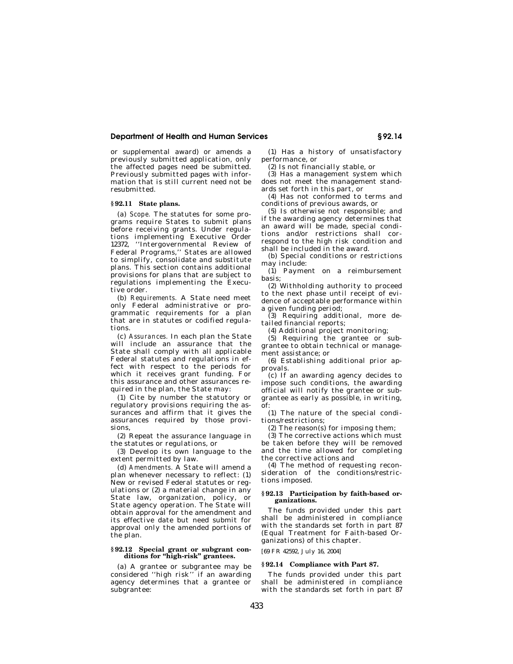or supplemental award) or amends a previously submitted application, only the affected pages need be submitted. Previously submitted pages with information that is still current need not be resubmitted.

### **§ 92.11 State plans.**

(a) *Scope.* The statutes for some programs require States to submit plans before receiving grants. Under regulations implementing Executive Order 12372, ''Intergovernmental Review of Federal Programs,'' States are allowed to simplify, consolidate and substitute plans. This section contains additional provisions for plans that are subject to regulations implementing the Executive order.

(b) *Requirements.* A State need meet only Federal administrative or programmatic requirements for a plan that are in statutes or codified regulations.

(c) *Assurances.* In each plan the State will include an assurance that the State shall comply with all applicable Federal statutes and regulations in effect with respect to the periods for which it receives grant funding. For this assurance and other assurances required in the plan, the State may:

(1) Cite by number the statutory or regulatory provisions requiring the assurances and affirm that it gives the assurances required by those provisions,

(2) Repeat the assurance language in the statutes or regulations, or

(3) Develop its own language to the extent permitted by law.

(d) *Amendments.* A State will amend a plan whenever necessary to reflect: (1) New or revised Federal statutes or regulations or (2) a material change in any State law, organization, policy, or State agency operation. The State will obtain approval for the amendment and its effective date but need submit for approval only the amended portions of the plan.

# **§ 92.12 Special grant or subgrant con-ditions for ''high-risk'' grantees.**

(a) A grantee or subgrantee may be considered ''high risk'' if an awarding agency determines that a grantee or subgrantee:

(1) Has a history of unsatisfactory performance, or

(2) Is not financially stable, or

(3) Has a management system which does not meet the management standards set forth in this part, or

(4) Has not conformed to terms and conditions of previous awards, or

(5) Is otherwise not responsible; and if the awarding agency determines that an award will be made, special conditions and/or restrictions shall correspond to the high risk condition and shall be included in the award.

(b) Special conditions or restrictions may include:

(1) Payment on a reimbursement basis;

(2) Withholding authority to proceed to the next phase until receipt of evidence of acceptable performance within a given funding period;

(3) Requiring additional, more detailed financial reports;

(4) Additional project monitoring;

(5) Requiring the grantee or subgrantee to obtain technical or management assistance; or

(6) Establishing additional prior approvals.

(c) If an awarding agency decides to impose such conditions, the awarding official will notify the grantee or subgrantee as early as possible, in writing, of:

(1) The nature of the special conditions/restrictions;

(2) The reason(s) for imposing them;

(3) The corrective actions which must be taken before they will be removed and the time allowed for completing the corrective actions and

(4) The method of requesting reconsideration of the conditions/restrictions imposed.

### **§ 92.13 Participation by faith-based organizations.**

The funds provided under this part shall be administered in compliance with the standards set forth in part 87 (Equal Treatment for Faith-based Organizations) of this chapter.

[69 FR 42592, July 16, 2004]

### **§ 92.14 Compliance with Part 87.**

The funds provided under this part shall be administered in compliance with the standards set forth in part 87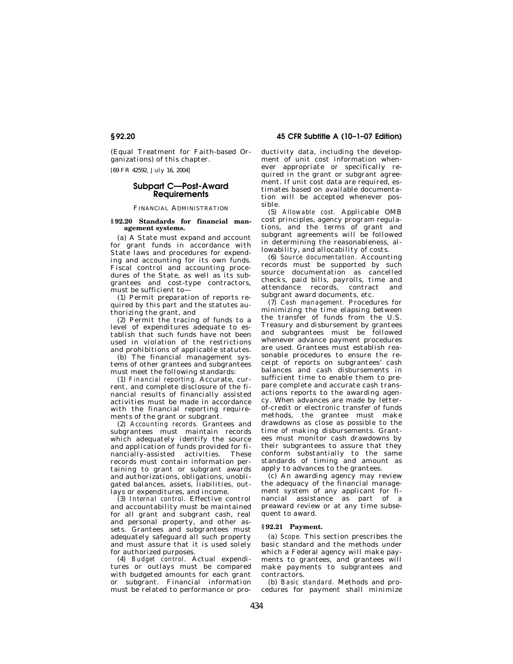(Equal Treatment for Faith-based Organizations) of this chapter.

[69 FR 42592, July 16, 2004]

### **Subpart C—Post-Award Requirements**

FINANCIAL ADMINISTRATION

### **§ 92.20 Standards for financial management systems.**

(a) A State must expand and account for grant funds in accordance with State laws and procedures for expending and accounting for its own funds. Fiscal control and accounting procedures of the State, as well as its subgrantees and cost-type contractors, must be sufficient to—

(1) Permit preparation of reports required by this part and the statutes authorizing the grant, and

(2) Permit the tracing of funds to a level of expenditures adequate to establish that such funds have not been used in violation of the restrictions and prohibitions of applicable statutes.

(b) The financial management systems of other grantees and subgrantees must meet the following standards:

(1) *Financial reporting.* Accurate, current, and complete disclosure of the financial results of financially assisted activities must be made in accordance with the financial reporting requirements of the grant or subgrant.

(2) *Accounting records.* Grantees and subgrantees must maintain records which adequately identify the source and application of funds provided for financially-assisted activities. These records must contain information pertaining to grant or subgrant awards and authorizations, obligations, unobligated balances, assets, liabilities, outlays or expenditures, and income.

(3) *Internal control.* Effective control and accountability must be maintained for all grant and subgrant cash, real and personal property, and other assets. Grantees and subgrantees must adequately safeguard all such property and must assure that it is used solely for authorized purposes.

(4) *Budget control.* Actual expenditures or outlays must be compared with budgeted amounts for each grant or subgrant. Financial information must be related to performance or pro-

**§ 92.20 45 CFR Subtitle A (10–1–07 Edition)** 

ductivity data, including the development of unit cost information whenever appropriate or specifically required in the grant or subgrant agreement. If unit cost data are required, estimates based on available documentation will be accepted whenever possible.

(5) *Allowable cost.* Applicable OMB cost principles, agency program regulations, and the terms of grant and subgrant agreements will be followed in determining the reasonableness, allowability, and allocability of costs.

(6) *Source documentation.* Accounting records must be supported by such source documentation as cancelled checks, paid bills, payrolls, time and attendance records, contract and subgrant award documents, etc.

(7) *Cash management.* Procedures for minimizing the time elapsing between the transfer of funds from the U.S. Treasury and disbursement by grantees and subgrantees must be followed whenever advance payment procedures are used. Grantees must establish reasonable procedures to ensure the receipt of reports on subgrantees' cash balances and cash disbursements in sufficient time to enable them to prepare complete and accurate cash transactions reports to the awarding agency. When advances are made by letterof-credit or electronic transfer of funds methods, the grantee must make drawdowns as close as possible to the time of making disbursements. Grantees must monitor cash drawdowns by their subgrantees to assure that they conform substantially to the same standards of timing and amount as apply to advances to the grantees.

(c) An awarding agency may review the adequacy of the financial management system of any applicant for financial assistance as part of a preaward review or at any time subsequent to award.

### **§ 92.21 Payment.**

(a) *Scope.* This section prescribes the basic standard and the methods under which a Federal agency will make payments to grantees, and grantees will make payments to subgrantees and contractors.

(b) *Basic standard.* Methods and procedures for payment shall minimize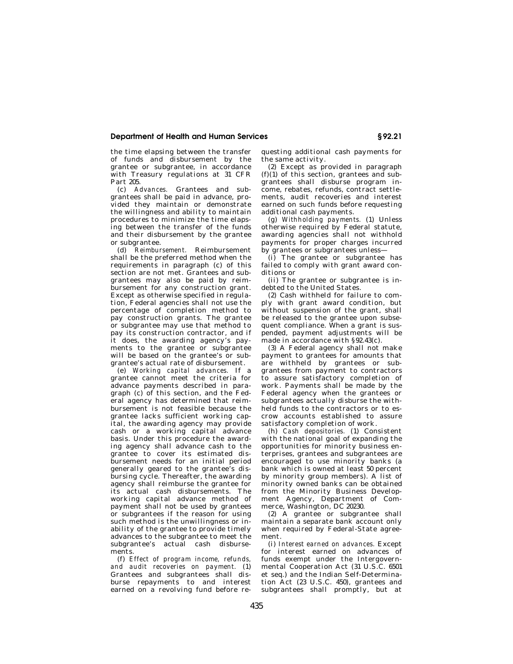the time elapsing between the transfer of funds and disbursement by the grantee or subgrantee, in accordance with Treasury regulations at 31 CFR Part 205.

(c) *Advances.* Grantees and subgrantees shall be paid in advance, provided they maintain or demonstrate the willingness and ability to maintain procedures to minimize the time elapsing between the transfer of the funds and their disbursement by the grantee or subgrantee.

(d) *Reimbursement.* Reimbursement shall be the preferred method when the requirements in paragraph (c) of this section are not met. Grantees and subgrantees may also be paid by reimbursement for any construction grant. Except as otherwise specified in regulation, Federal agencies shall not use the percentage of completion method to pay construction grants. The grantee or subgrantee may use that method to pay its construction contractor, and if it does, the awarding agency's payments to the grantee or subgrantee will be based on the grantee's or subgrantee's actual rate of disbursement.

(e) *Working capital advances.* If a grantee cannot meet the criteria for advance payments described in paragraph (c) of this section, and the Federal agency has determined that reimbursement is not feasible because the grantee lacks sufficient working capital, the awarding agency may provide cash or a working capital advance basis. Under this procedure the awarding agency shall advance cash to the grantee to cover its estimated disbursement needs for an initial period generally geared to the grantee's disbursing cycle. Thereafter, the awarding agency shall reimburse the grantee for its actual cash disbursements. The working capital advance method of payment shall not be used by grantees or subgrantees if the reason for using such method is the unwillingness or inability of the grantee to provide timely advances to the subgrantee to meet the subgrantee's actual cash disbursements.

(f) *Effect of program income, refunds, and audit recoveries on payment.* (1) Grantees and subgrantees shall disburse repayments to and interest earned on a revolving fund before requesting additional cash payments for the same activity.

(2) Except as provided in paragraph  $(f)(1)$  of this section, grantees and subgrantees shall disburse program income, rebates, refunds, contract settlements, audit recoveries and interest earned on such funds before requesting additional cash payments.

(g) *Withholding payments.* (1) Unless otherwise required by Federal statute, awarding agencies shall not withhold payments for proper charges incurred by grantees or subgrantees unless—

(i) The grantee or subgrantee has failed to comply with grant award conditions or

(ii) The grantee or subgrantee is indebted to the United States.

(2) Cash withheld for failure to comply with grant award condition, but without suspension of the grant, shall be released to the grantee upon subsequent compliance. When a grant is suspended, payment adjustments will be made in accordance with §92.43(c).

(3) A Federal agency shall not make payment to grantees for amounts that are withheld by grantees or subgrantees from payment to contractors to assure satisfactory completion of work. Payments shall be made by the Federal agency when the grantees or subgrantees actually disburse the withheld funds to the contractors or to escrow accounts established to assure satisfactory completion of work.

(h) *Cash depositories.* (1) Consistent with the national goal of expanding the opportunities for minority business enterprises, grantees and subgrantees are encouraged to use minority banks (a bank which is owned at least 50 percent by minority group members). A list of minority owned banks can be obtained from the Minority Business Development Agency, Department of Commerce, Washington, DC 20230.

(2) A grantee or subgrantee shall maintain a separate bank account only when required by Federal-State agreement.

(i) *Interest earned on advances.* Except for interest earned on advances of funds exempt under the Intergovernmental Cooperation Act (31 U.S.C. 6501 et seq.) and the Indian Self-Determination Act (23 U.S.C. 450), grantees and subgrantees shall promptly, but at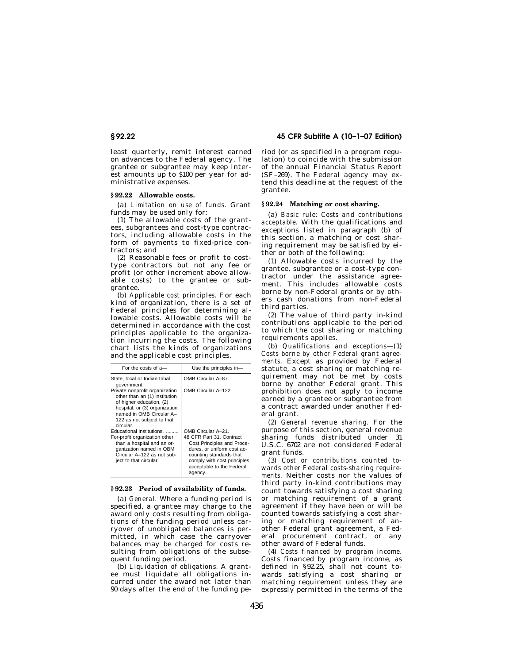least quarterly, remit interest earned on advances to the Federal agency. The grantee or subgrantee may keep interest amounts up to \$100 per year for administrative expenses.

### **§ 92.22 Allowable costs.**

(a) *Limitation on use of funds.* Grant funds may be used only for:

(1) The allowable costs of the grantees, subgrantees and cost-type contractors, including allowable costs in the form of payments to fixed-price contractors; and

(2) Reasonable fees or profit to costtype contractors but not any fee or profit (or other increment above allowable costs) to the grantee or subgrantee.

(b) *Applicable cost principles.* For each kind of organization, there is a set of Federal principles for determining allowable costs. Allowable costs will be determined in accordance with the cost principles applicable to the organization incurring the costs. The following chart lists the kinds of organizations and the applicable cost principles.

| For the costs of a-                                                                                                                                                                                 | Use the principles in-                                                                                                                                                                                       |
|-----------------------------------------------------------------------------------------------------------------------------------------------------------------------------------------------------|--------------------------------------------------------------------------------------------------------------------------------------------------------------------------------------------------------------|
| State, local or Indian tribal<br>government.                                                                                                                                                        | OMB Circular A-87.                                                                                                                                                                                           |
| Private nonprofit organization<br>other than an (1) institution<br>of higher education, (2)<br>hospital, or (3) organization<br>named in OMB Circular A-<br>122 as not subject to that<br>circular. | OMB Circular A-122.                                                                                                                                                                                          |
| Educational institutions.<br>For-profit organization other<br>than a hospital and an or-<br>ganization named in OBM<br>Circular A-122 as not sub-<br>ject to that circular.                         | OMB Circular A-21.<br>48 CFR Part 31. Contract<br>Cost Principles and Proce-<br>dures, or uniform cost ac-<br>counting standards that<br>comply with cost principles<br>acceptable to the Federal<br>agency. |

### **§ 92.23 Period of availability of funds.**

(a) *General.* Where a funding period is specified, a grantee may charge to the award only costs resulting from obligations of the funding period unless carryover of unobligated balances is permitted, in which case the carryover balances may be charged for costs resulting from obligations of the subsequent funding period.

(b) *Liquidation of obligations.* A grantee must liquidate all obligations incurred under the award not later than 90 days after the end of the funding pe-

**§ 92.22 45 CFR Subtitle A (10–1–07 Edition)** 

riod (or as specified in a program regulation) to coincide with the submission of the annual Financial Status Report (SF–269). The Federal agency may extend this deadline at the request of the grantee.

### **§ 92.24 Matching or cost sharing.**

(a) *Basic rule: Costs and contributions acceptable.* With the qualifications and exceptions listed in paragraph (b) of this section, a matching or cost sharing requirement may be satisfied by either or both of the following:

(1) Allowable costs incurred by the grantee, subgrantee or a cost-type contractor under the assistance agreement. This includes allowable costs borne by non-Federal grants or by others cash donations from non-Federal third parties.

(2) The value of third party in-kind contributions applicable to the period to which the cost sharing or matching requirements applies.

(b) *Qualifications and exceptions*—(1) *Costs borne by other Federal grant agreements.* Except as provided by Federal statute, a cost sharing or matching requirement may not be met by costs borne by another Federal grant. This prohibition does not apply to income earned by a grantee or subgrantee from a contract awarded under another Federal grant.

(2) *General revenue sharing.* For the purpose of this section, general revenue sharing funds distributed under 31 U.S.C. 6702 are not considered Federal grant funds.

(3) *Cost or contributions counted towards other Federal costs-sharing requirements.* Neither costs nor the values of third party in-kind contributions may count towards satisfying a cost sharing or matching requirement of a grant agreement if they have been or will be counted towards satisfying a cost sharing or matching requirement of another Federal grant agreement, a Federal procurement contract, or any other award of Federal funds.

(4) *Costs financed by program income.*  Costs financed by program income, as defined in §92.25, shall not count towards satisfying a cost sharing or matching requirement unless they are expressly permitted in the terms of the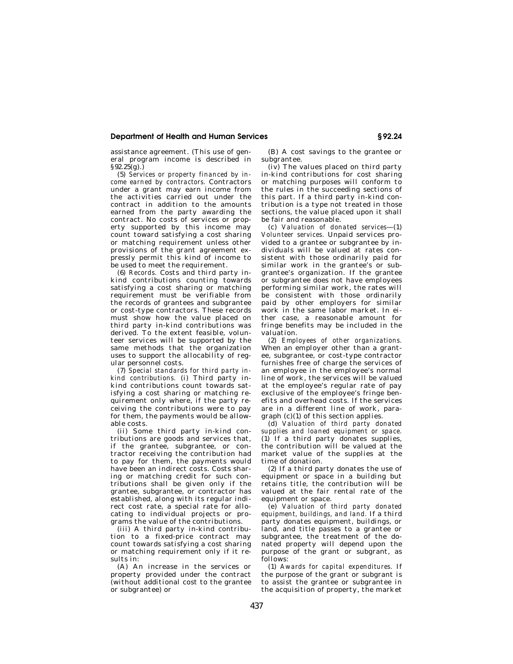assistance agreement. (This use of general program income is described in §92.25(g).)

(5) *Services or property financed by income earned by contractors.* Contractors under a grant may earn income from the activities carried out under the contract in addition to the amounts earned from the party awarding the contract. No costs of services or property supported by this income may count toward satisfying a cost sharing or matching requirement unless other provisions of the grant agreement expressly permit this kind of income to be used to meet the requirement.

(6) *Records.* Costs and third party inkind contributions counting towards satisfying a cost sharing or matching requirement must be verifiable from the records of grantees and subgrantee or cost-type contractors. These records must show how the value placed on third party in-kind contributions was derived. To the extent feasible, volunteer services will be supported by the same methods that the organization uses to support the allocability of regular personnel costs.

(7) *Special standards for third party inkind contributions.* (i) Third party inkind contributions count towards satisfying a cost sharing or matching requirement only where, if the party receiving the contributions were to pay for them, the payments would be allowable costs.

(ii) Some third party in-kind contributions are goods and services that, if the grantee, subgrantee, or contractor receiving the contribution had to pay for them, the payments would have been an indirect costs. Costs sharing or matching credit for such contributions shall be given only if the grantee, subgrantee, or contractor has established, along with its regular indirect cost rate, a special rate for allocating to individual projects or programs the value of the contributions.

(iii) A third party in-kind contribution to a fixed-price contract may count towards satisfying a cost sharing or matching requirement only if it results in:

(A) An increase in the services or property provided under the contract (without additional cost to the grantee or subgrantee) or

(B) A cost savings to the grantee or subgrantee.

(iv) The values placed on third party in-kind contributions for cost sharing or matching purposes will conform to the rules in the succeeding sections of this part. If a third party in-kind contribution is a type not treated in those sections, the value placed upon it shall be fair and reasonable.

(c) *Valuation of donated services*—(1) *Volunteer services.* Unpaid services provided to a grantee or subgrantee by individuals will be valued at rates consistent with those ordinarily paid for similar work in the grantee's or subgrantee's organization. If the grantee or subgrantee does not have employees performing similar work, the rates will be consistent with those ordinarily paid by other employers for similar work in the same labor market. In either case, a reasonable amount for fringe benefits may be included in the valuation.

(2) *Employees of other organizations.*  When an employer other than a grantee, subgrantee, or cost-type contractor furnishes free of charge the services of an employee in the employee's normal line of work, the services will be valued at the employee's regular rate of pay exclusive of the employee's fringe benefits and overhead costs. If the services are in a different line of work, paragraph (c)(1) of this section applies.

(d) *Valuation of third party donated supplies and loaned equipment or space.*  (1) If a third party donates supplies, the contribution will be valued at the market value of the supplies at the time of donation.

(2) If a third party donates the use of equipment or space in a building but retains title, the contribution will be valued at the fair rental rate of the equipment or space.

(e) *Valuation of third party donated equipment, buildings, and land.* If a third party donates equipment, buildings, or land, and title passes to a grantee or subgrantee, the treatment of the donated property will depend upon the purpose of the grant or subgrant, as follows:

(1) *Awards for capital expenditures.* If the purpose of the grant or subgrant is to assist the grantee or subgrantee in the acquisition of property, the market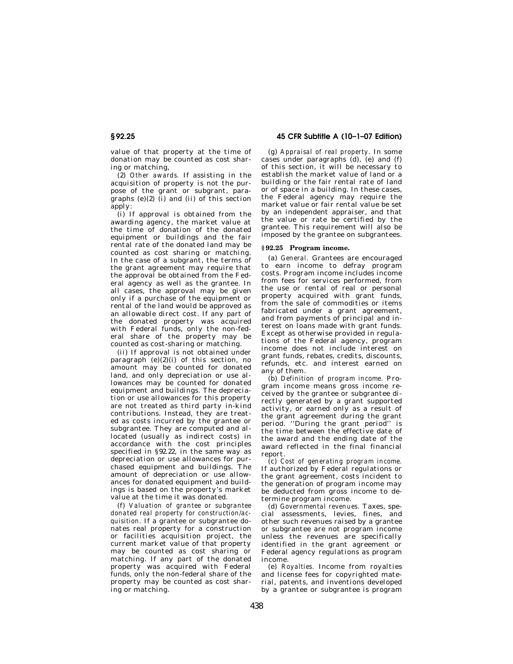value of that property at the time of donation may be counted as cost sharing or matching,

(2) *Other awards.* If assisting in the acquisition of property is not the purpose of the grant or subgrant, paragraphs  $(e)(2)$  (i) and (ii) of this section apply:

(i) If approval is obtained from the awarding agency, the market value at the time of donation of the donated equipment or buildings and the fair rental rate of the donated land may be counted as cost sharing or matching. In the case of a subgrant, the terms of the grant agreement may require that the approval be obtained from the Federal agency as well as the grantee. In all cases, the approval may be given only if a purchase of the equipment or rental of the land would be approved as an allowable direct cost. If any part of the donated property was acquired with Federal funds, only the non-federal share of the property may be counted as cost-sharing or matching.

(ii) If approval is not obtained under paragraph  $(e)(2)(i)$  of this section, no amount may be counted for donated land, and only depreciation or use allowances may be counted for donated equipment and buildings. The depreciation or use allowances for this property are not treated as third party in-kind contributions. Instead, they are treated as costs incurred by the grantee or subgrantee. They are computed and allocated (usually as indirect costs) in accordance with the cost principles specified in §92.22, in the same way as depreciation or use allowances for purchased equipment and buildings. The amount of depreciation or use allowances for donated equipment and buildings is based on the property's market value at the time it was donated.

(f) *Valuation of grantee or subgrantee donated real property for construction/acquisition.* If a grantee or subgrantee donates real property for a construction or facilities acquisition project, the current market value of that property may be counted as cost sharing or matching. If any part of the donated property was acquired with Federal funds, only the non-federal share of the property may be counted as cost sharing or matching.

### **§ 92.25 45 CFR Subtitle A (10–1–07 Edition)**

(g) *Appraisal of real property.* In some cases under paragraphs  $(d)$ ,  $(e)$  and  $(f)$ of this section, it will be necessary to establish the market value of land or a building or the fair rental rate of land or of space in a building. In these cases, the Federal agency may require the market value or fair rental value be set by an independent appraiser, and that the value or rate be certified by the grantee. This requirement will also be imposed by the grantee on subgrantees.

### **§ 92.25 Program income.**

(a) *General.* Grantees are encouraged to earn income to defray program costs. Program income includes income from fees for services performed, from the use or rental of real or personal property acquired with grant funds, from the sale of commodities or items fabricated under a grant agreement, and from payments of principal and interest on loans made with grant funds. Except as otherwise provided in regulations of the Federal agency, program income does not include interest on grant funds, rebates, credits, discounts, refunds, etc. and interest earned on any of them.

(b) *Definition of program income.* Program income means gross income received by the grantee or subgrantee directly generated by a grant supported activity, or earned only as a result of the grant agreement during the grant period. "During the grant period" is the time between the effective date of the award and the ending date of the award reflected in the final financial report.

(c) *Cost of generating program income.*  If authorized by Federal regulations or the grant agreement, costs incident to the generation of program income may be deducted from gross income to determine program income.

(d) *Governmental revenues.* Taxes, special assessments, levies, fines, and other such revenues raised by a grantee or subgrantee are not program income unless the revenues are specifically identified in the grant agreement or Federal agency regulations as program income.

(e) *Royalties.* Income from royalties and license fees for copyrighted material, patents, and inventions developed by a grantee or subgrantee is program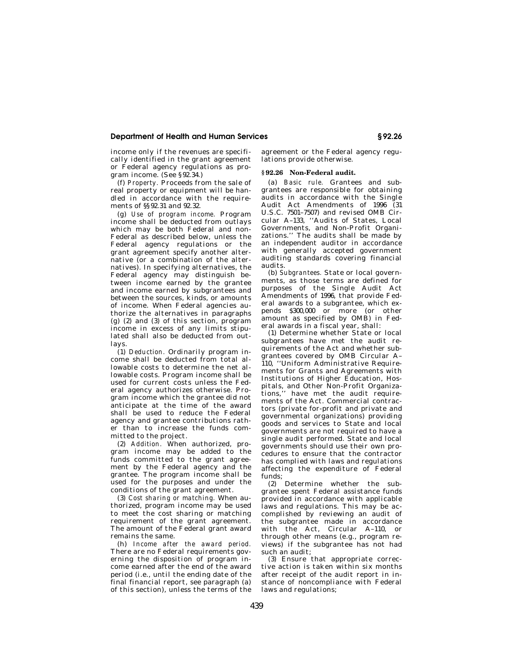income only if the revenues are specifically identified in the grant agreement or Federal agency regulations as program income. (See §92.34.)

(f) *Property.* Proceeds from the sale of real property or equipment will be handled in accordance with the requirements of §§92.31 and 92.32.

(g) *Use of program income.* Program income shall be deducted from outlays which may be both Federal and non-Federal as described below, unless the Federal agency regulations or the grant agreement specify another alternative (or a combination of the alternatives). In specifying alternatives, the Federal agency may distinguish between income earned by the grantee and income earned by subgrantees and between the sources, kinds, or amounts of income. When Federal agencies authorize the alternatives in paragraphs (g) (2) and (3) of this section, program income in excess of any limits stipulated shall also be deducted from outlays.

(1) *Deduction.* Ordinarily program income shall be deducted from total allowable costs to determine the net allowable costs. Program income shall be used for current costs unless the Federal agency authorizes otherwise. Program income which the grantee did not anticipate at the time of the award shall be used to reduce the Federal agency and grantee contributions rather than to increase the funds committed to the project.

(2) *Addition.* When authorized, program income may be added to the funds committed to the grant agreement by the Federal agency and the grantee. The program income shall be used for the purposes and under the conditions of the grant agreement.

(3) *Cost sharing or matching.* When authorized, program income may be used to meet the cost sharing or matching requirement of the grant agreement. The amount of the Federal grant award remains the same.

(h) *Income after the award period.*  There are no Federal requirements governing the disposition of program income earned after the end of the award period (i.e., until the ending date of the final financial report, see paragraph (a) of this section), unless the terms of the

439

agreement or the Federal agency regulations provide otherwise.

### **§ 92.26 Non-Federal audit.**

(a) *Basic rule.* Grantees and subgrantees are responsible for obtaining audits in accordance with the Single Audit Act Amendments of 1996 (31 U.S.C. 7501–7507) and revised OMB Circular A–133, ''Audits of States, Local Governments, and Non-Profit Organizations.'' The audits shall be made by an independent auditor in accordance with generally accepted government auditing standards covering financial audits.

(b) *Subgrantees.* State or local governments, as those terms are defined for purposes of the Single Audit Act Amendments of 1996, that provide Federal awards to a subgrantee, which expends \$300,000 or more (or other amount as specified by OMB) in Federal awards in a fiscal year, shall:

(1) Determine whether State or local subgrantees have met the audit requirements of the Act and whether subgrantees covered by OMB Circular A– 110, ''Uniform Administrative Requirements for Grants and Agreements with Institutions of Higher Education, Hospitals, and Other Non-Profit Organizations,'' have met the audit requirements of the Act. Commercial contractors (private for-profit and private and governmental organizations) providing goods and services to State and local governments are not required to have a single audit performed. State and local governments should use their own procedures to ensure that the contractor has complied with laws and regulations affecting the expenditure of Federal funds;

(2) Determine whether the subgrantee spent Federal assistance funds provided in accordance with applicable laws and regulations. This may be accomplished by reviewing an audit of the subgrantee made in accordance with the Act, Circular A–110, or through other means (e.g., program reviews) if the subgrantee has not had such an audit;

(3) Ensure that appropriate corrective action is taken within six months after receipt of the audit report in instance of noncompliance with Federal laws and regulations;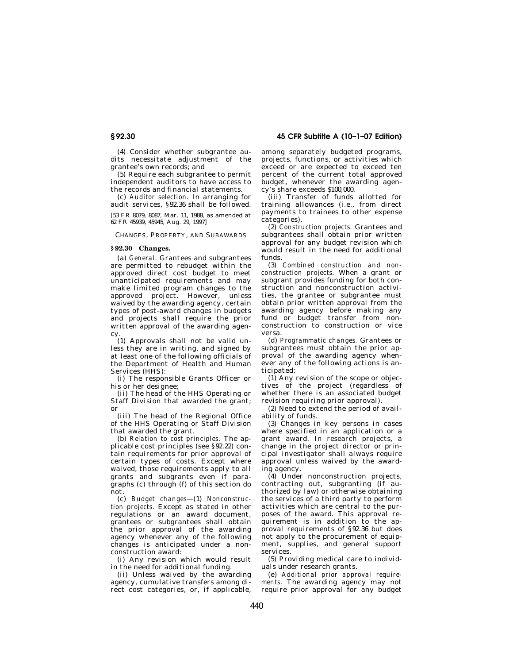(4) Consider whether subgrantee audits necessitate adjustment of the grantee's own records; and

(5) Require each subgrantee to permit independent auditors to have access to the records and financial statements.

(c) *Auditor selection.* In arranging for audit services, §92.36 shall be followed.

[53 FR 8079, 8087, Mar. 11, 1988, as amended at 62 FR 45939, 45945, Aug. 29, 1997]

CHANGES, PROPERTY, AND SUBAWARDS

### **§ 92.30 Changes.**

(a) *General*. Grantees and subgrantees are permitted to rebudget within the approved direct cost budget to meet unanticipated requirements and may make limited program changes to the approved project. However, unless waived by the awarding agency, certain types of post-award changes in budgets and projects shall require the prior written approval of the awarding agency.

(1) Approvals shall not be valid unless they are in writing, and signed by at least one of the following officials of the Department of Health and Human Services (HHS):

(i) The responsible Grants Officer or his or her designee;

(ii) The head of the HHS Operating or Staff Division that awarded the grant; or

(iii) The head of the Regional Office of the HHS Operating or Staff Division that awarded the grant.

(b) *Relation to cost principles.* The applicable cost principles (see §92.22) contain requirements for prior approval of certain types of costs. Except where waived, those requirements apply to all grants and subgrants even if paragraphs (c) through (f) of this section do not.

(c) *Budget changes*—(1) *Nonconstruction projects.* Except as stated in other regulations or an award document, grantees or subgrantees shall obtain the prior approval of the awarding agency whenever any of the following changes is anticipated under a nonconstruction award:

(i) Any revision which would result in the need for additional funding.

(ii) Unless waived by the awarding agency, cumulative transfers among direct cost categories, or, if applicable,

**§ 92.30 45 CFR Subtitle A (10–1–07 Edition)** 

among separately budgeted programs, projects, functions, or activities which exceed or are expected to exceed ten percent of the current total approved budget, whenever the awarding agency's share exceeds \$100,000.

(iii) Transfer of funds allotted for training allowances (i.e., from direct payments to trainees to other expense categories).

(2) *Construction projects.* Grantees and subgrantees shall obtain prior written approval for any budget revision which would result in the need for additional funds.

(3) *Combined construction and nonconstruction projects.* When a grant or subgrant provides funding for both construction and nonconstruction activities, the grantee or subgrantee must obtain prior written approval from the awarding agency before making any fund or budget transfer from nonconstruction to construction or vice versa.

(d) *Programmatic changes.* Grantees or subgrantees must obtain the prior approval of the awarding agency whenever any of the following actions is anticipated:

(1) Any revision of the scope or objectives of the project (regardless of whether there is an associated budget revision requiring prior approval).

(2) Need to extend the period of availability of funds.

(3) Changes in key persons in cases where specified in an application or a grant award. In research projects, a change in the project director or principal investigator shall always require approval unless waived by the awarding agency.

(4) Under nonconstruction projects, contracting out, subgranting (if authorized by law) or otherwise obtaining the services of a third party to perform activities which are central to the purposes of the award. This approval requirement is in addition to the approval requirements of §92.36 but does not apply to the procurement of equipment, supplies, and general support services.

(5) Providing medical care to individuals under research grants.

(e) *Additional prior approval requirements.* The awarding agency may not require prior approval for any budget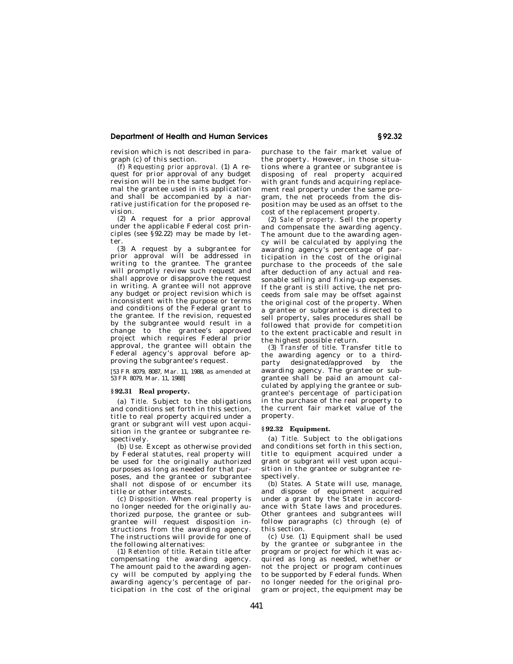revision which is not described in paragraph (c) of this section.

(f) *Requesting prior approval.* (1) A request for prior approval of any budget revision will be in the same budget formal the grantee used in its application and shall be accompanied by a narrative justification for the proposed revision.

(2) A request for a prior approval under the applicable Federal cost principles (see §92.22) may be made by letter.

(3) A request by a subgrantee for prior approval will be addressed in writing to the grantee. The grantee will promptly review such request and shall approve or disapprove the request in writing. A grantee will not approve any budget or project revision which is inconsistent with the purpose or terms and conditions of the Federal grant to the grantee. If the revision, requested by the subgrantee would result in a change to the grantee's approved project which requires Federal prior approval, the grantee will obtain the Federal agency's approval before approving the subgrantee's request.

[53 FR 8079, 8087, Mar. 11, 1988, as amended at 53 FR 8079, Mar. 11, 1988]

### **§ 92.31 Real property.**

(a) *Title.* Subject to the obligations and conditions set forth in this section, title to real property acquired under a grant or subgrant will vest upon acquisition in the grantee or subgrantee respectively.

(b) *Use.* Except as otherwise provided by Federal statutes, real property will be used for the originally authorized purposes as long as needed for that purposes, and the grantee or subgrantee shall not dispose of or encumber its title or other interests.

(c) *Disposition.* When real property is no longer needed for the originally authorized purpose, the grantee or subgrantee will request disposition instructions from the awarding agency. The instructions will provide for one of the following alternatives:

(1) *Retention of title.* Retain title after compensating the awarding agency. The amount paid to the awarding agency will be computed by applying the awarding agency's percentage of participation in the cost of the original

purchase to the fair market value of .<br>the property. However, in those situations where a grantee or subgrantee is disposing of real property acquired with grant funds and acquiring replacement real property under the same program, the net proceeds from the disposition may be used as an offset to the cost of the replacement property.

(2) *Sale of property.* Sell the property and compensate the awarding agency. The amount due to the awarding agency will be calculated by applying the awarding agency's percentage of participation in the cost of the original purchase to the proceeds of the sale after deduction of any actual and reasonable selling and fixing-up expenses. If the grant is still active, the net proceeds from sale may be offset against the original cost of the property. When a grantee or subgrantee is directed to sell property, sales procedures shall be followed that provide for competition to the extent practicable and result in the highest possible return.

(3) *Transfer of title.* Transfer title to the awarding agency or to a thirdparty designated/approved by the awarding agency. The grantee or subgrantee shall be paid an amount calculated by applying the grantee or subgrantee's percentage of participation in the purchase of the real property to the current fair market value of the property.

### **§ 92.32 Equipment.**

(a) *Title.* Subject to the obligations and conditions set forth in this section, title to equipment acquired under a grant or subgrant will vest upon acquisition in the grantee or subgrantee respectively.

(b) *States.* A State will use, manage, and dispose of equipment acquired under a grant by the State in accordance with State laws and procedures. Other grantees and subgrantees will follow paragraphs (c) through (e) of this section.

(c) *Use.* (1) Equipment shall be used by the grantee or subgrantee in the program or project for which it was acquired as long as needed, whether or not the project or program continues to be supported by Federal funds. When no longer needed for the original program or project, the equipment may be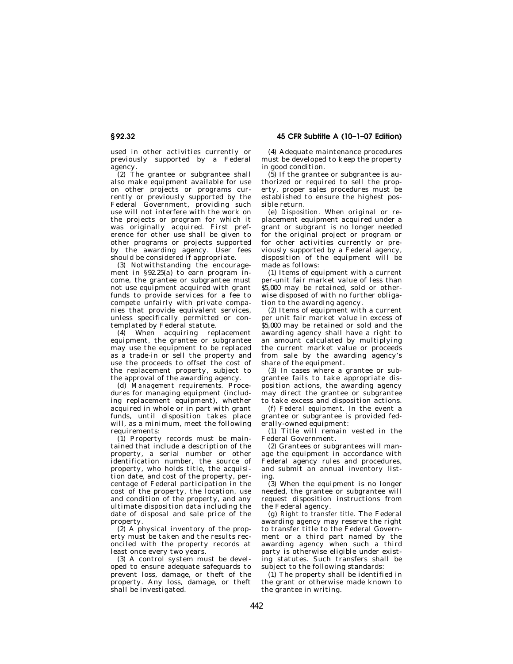used in other activities currently or previously supported by a Federal agency.

(2) The grantee or subgrantee shall also make equipment available for use on other projects or programs currently or previously supported by the Federal Government, providing such use will not interfere with the work on the projects or program for which it was originally acquired. First preference for other use shall be given to other programs or projects supported by the awarding agency. User fees should be considered if appropriate.

(3) Notwithstanding the encouragement in §92.25(a) to earn program income, the grantee or subgrantee must not use equipment acquired with grant funds to provide services for a fee to compete unfairly with private companies that provide equivalent services, unless specifically permitted or contemplated by Federal statute.

(4) When acquiring replacement equipment, the grantee or subgrantee may use the equipment to be replaced as a trade-in or sell the property and use the proceeds to offset the cost of the replacement property, subject to the approval of the awarding agency.

(d) *Management requirements.* Procedures for managing equipment (including replacement equipment), whether acquired in whole or in part with grant funds, until disposition takes place will, as a minimum, meet the following requirements:

(1) Property records must be maintained that include a description of the property, a serial number or other identification number, the source of property, who holds title, the acquisition date, and cost of the property, percentage of Federal participation in the cost of the property, the location, use and condition of the property, and any ultimate disposition data including the date of disposal and sale price of the property.

 $(2)$  A physical inventory of the property must be taken and the results reconciled with the property records at least once every two years.

(3) A control system must be developed to ensure adequate safeguards to prevent loss, damage, or theft of the property. Any loss, damage, or theft shall be investigated.

**§ 92.32 45 CFR Subtitle A (10–1–07 Edition)** 

(4) Adequate maintenance procedures must be developed to keep the property in good condition.

(5) If the grantee or subgrantee is authorized or required to sell the property, proper sales procedures must be established to ensure the highest possible return.

(e) *Disposition.* When original or replacement equipment acquired under a grant or subgrant is no longer needed for the original project or program or for other activities currently or previously supported by a Federal agency, disposition of the equipment will be made as follows:

(1) Items of equipment with a current per-unit fair market value of less than \$5,000 may be retained, sold or otherwise disposed of with no further obligation to the awarding agency.

(2) Items of equipment with a current per unit fair market value in excess of \$5,000 may be retained or sold and the awarding agency shall have a right to an amount calculated by multiplying the current market value or proceeds from sale by the awarding agency's share of the equipment.

(3) In cases where a grantee or subgrantee fails to take appropriate disposition actions, the awarding agency may direct the grantee or subgrantee to take excess and disposition actions.

(f) *Federal equipment.* In the event a grantee or subgrantee is provided federally-owned equipment:

(1) Title will remain vested in the Federal Government.

(2) Grantees or subgrantees will manage the equipment in accordance with Federal agency rules and procedures, and submit an annual inventory listing.

(3) When the equipment is no longer needed, the grantee or subgrantee will request disposition instructions from the Federal agency.

(g) *Right to transfer title.* The Federal awarding agency may reserve the right to transfer title to the Federal Government or a third part named by the awarding agency when such a third party is otherwise eligible under existing statutes. Such transfers shall be subject to the following standards:

(1) The property shall be identified in the grant or otherwise made known to the grantee in writing.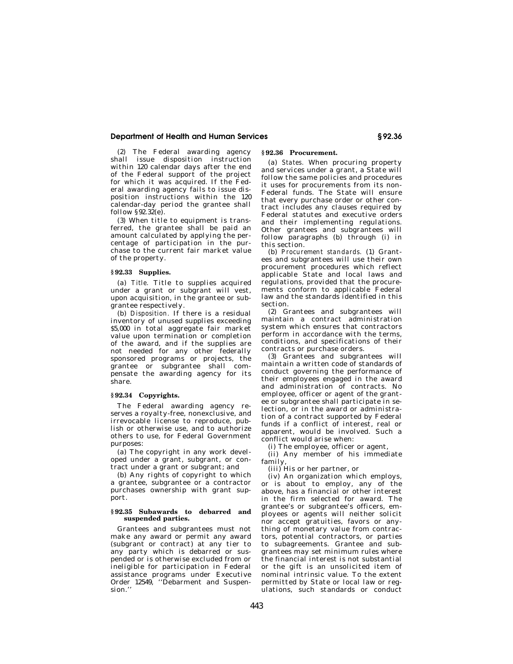(2) The Federal awarding agency shall issue disposition instruction within 120 calendar days after the end of the Federal support of the project for which it was acquired. If the Federal awarding agency fails to issue disposition instructions within the 120 .<br>calendar-day period the grantee shall follow  $§ 92.32(e)$ .

(3) When title to equipment is transferred, the grantee shall be paid an amount calculated by applying the percentage of participation in the purchase to the current fair market value of the property.

### **§ 92.33 Supplies.**

(a) *Title.* Title to supplies acquired under a grant or subgrant will vest, upon acquisition, in the grantee or subgrantee respectively.

(b) *Disposition.* If there is a residual inventory of unused supplies exceeding \$5,000 in total aggregate fair market value upon termination or completion of the award, and if the supplies are not needed for any other federally sponsored programs or projects, the grantee or subgrantee shall compensate the awarding agency for its share.

### **§ 92.34 Copyrights.**

The Federal awarding agency reserves a royalty-free, nonexclusive, and irrevocable license to reproduce, publish or otherwise use, and to authorize others to use, for Federal Government purposes:

(a) The copyright in any work developed under a grant, subgrant, or contract under a grant or subgrant; and

(b) Any rights of copyright to which a grantee, subgrantee or a contractor purchases ownership with grant support.

### **§ 92.35 Subawards to debarred and suspended parties.**

Grantees and subgrantees must not make any award or permit any award (subgrant or contract) at any tier to any party which is debarred or suspended or is otherwise excluded from or ineligible for participation in Federal assistance programs under Executive Order 12549, ''Debarment and Suspension.''

### **§ 92.36 Procurement.**

(a) *States.* When procuring property and services under a grant, a State will follow the same policies and procedures it uses for procurements from its non-Federal funds. The State will ensure that every purchase order or other contract includes any clauses required by Federal statutes and executive orders and their implementing regulations. Other grantees and subgrantees will follow paragraphs (b) through (i) in this section.

(b) *Procurement standards.* (1) Grantees and subgrantees will use their own procurement procedures which reflect applicable State and local laws and regulations, provided that the procurements conform to applicable Federal law and the standards identified in this section.

(2) Grantees and subgrantees will maintain a contract administration system which ensures that contractors perform in accordance with the terms, conditions, and specifications of their contracts or purchase orders.

(3) Grantees and subgrantees will maintain a written code of standards of conduct governing the performance of their employees engaged in the award and administration of contracts. No employee, officer or agent of the grantee or subgrantee shall participate in selection, or in the award or administration of a contract supported by Federal funds if a conflict of interest, real or apparent, would be involved. Such a conflict would arise when:

(i) The employee, officer or agent,

(ii) Any member of his immediate family,

(iii) His or her partner, or

(iv) An organization which employs, or is about to employ, any of the above, has a financial or other interest in the firm selected for award. The grantee's or subgrantee's officers, employees or agents will neither solicit nor accept gratuities, favors or anything of monetary value from contractors, potential contractors, or parties to subagreements. Grantee and subgrantees may set minimum rules where the financial interest is not substantial or the gift is an unsolicited item of nominal intrinsic value. To the extent permitted by State or local law or regulations, such standards or conduct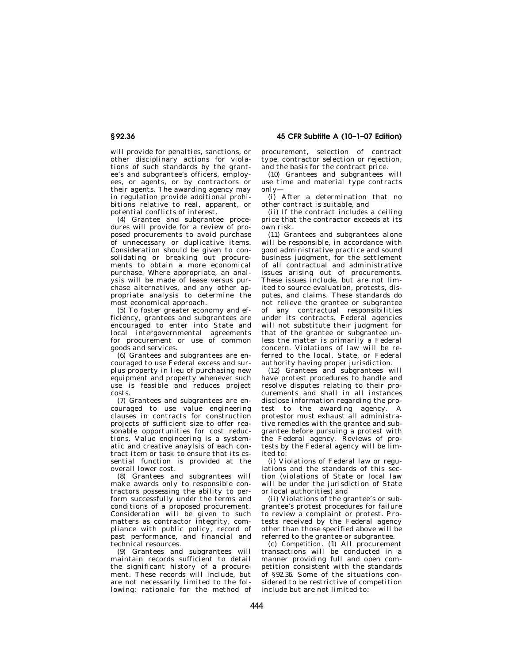will provide for penalties, sanctions, or other disciplinary actions for violations of such standards by the grantee's and subgrantee's officers, employees, or agents, or by contractors or their agents. The awarding agency may in regulation provide additional prohibitions relative to real, apparent, or potential conflicts of interest.

(4) Grantee and subgrantee procedures will provide for a review of proposed procurements to avoid purchase of unnecessary or duplicative items. Consideration should be given to consolidating or breaking out procurements to obtain a more economical purchase. Where appropriate, an analysis will be made of lease versus purchase alternatives, and any other appropriate analysis to determine the most economical approach.

(5) To foster greater economy and efficiency, grantees and subgrantees are encouraged to enter into State and local intergovernmental agreements for procurement or use of common goods and services.

(6) Grantees and subgrantees are encouraged to use Federal excess and surplus property in lieu of purchasing new equipment and property whenever such use is feasible and reduces project costs.

(7) Grantees and subgrantees are encouraged to use value engineering clauses in contracts for construction projects of sufficient size to offer reasonable opportunities for cost reductions. Value engineering is a systematic and creative anaylsis of each contract item or task to ensure that its essential function is provided at the overall lower cost.

(8) Grantees and subgrantees will make awards only to responsible contractors possessing the ability to perform successfully under the terms and conditions of a proposed procurement. Consideration will be given to such matters as contractor integrity, compliance with public policy, record of past performance, and financial and .<br>technical resources.

(9) Grantees and subgrantees will maintain records sufficient to detail the significant history of a procurement. These records will include, but are not necessarily limited to the following: rationale for the method of

**§ 92.36 45 CFR Subtitle A (10–1–07 Edition)** 

procurement, selection of contract type, contractor selection or rejection, and the basis for the contract price.

(10) Grantees and subgrantees will use time and material type contracts only—

(i) After a determination that no other contract is suitable, and

(ii) If the contract includes a ceiling price that the contractor exceeds at its own risk.

(11) Grantees and subgrantees alone will be responsible, in accordance with good administrative practice and sound business judgment, for the settlement of all contractual and administrative issues arising out of procurements. These issues include, but are not limited to source evaluation, protests, disputes, and claims. These standards do not relieve the grantee or subgrantee of any contractual responsibilities under its contracts. Federal agencies will not substitute their judgment for that of the grantee or subgrantee unless the matter is primarily a Federal concern. Violations of law will be referred to the local, State, or Federal authority having proper jurisdiction.

(12) Grantees and subgrantees will have protest procedures to handle and resolve disputes relating to their procurements and shall in all instances disclose information regarding the protest to the awarding agency. A protestor must exhaust all administrative remedies with the grantee and subgrantee before pursuing a protest with the Federal agency. Reviews of protests by the Federal agency will be limited to:

(i) Violations of Federal law or regulations and the standards of this section (violations of State or local law will be under the jurisdiction of State or local authorities) and

(ii) Violations of the grantee's or subgrantee's protest procedures for failure to review a complaint or protest. Protests received by the Federal agency other than those specified above will be referred to the grantee or subgrantee.

(c) *Competition*. (1) All procurement transactions will be conducted in a manner providing full and open competition consistent with the standards of §92.36. Some of the situations considered to be restrictive of competition include but are not limited to: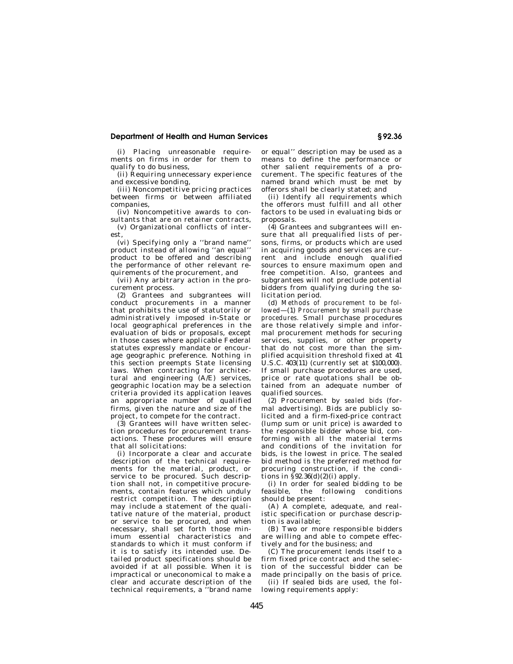(i) Placing unreasonable requirements on firms in order for them to qualify to do business,

(ii) Requiring unnecessary experience and excessive bonding,

(iii) Noncompetitive pricing practices between firms or between affiliated companies,

(iv) Noncompetitive awards to consultants that are on retainer contracts, (v) Organizational conflicts of inter-

est, (vi) Specifying only a ''brand name'' product instead of allowing ''an equal'' product to be offered and describing the performance of other relevant requirements of the procurement, and

(vii) Any arbitrary action in the procurement process.

(2) Grantees and subgrantees will conduct procurements in a manner that prohibits the use of statutorily or administratively imposed in-State or local geographical preferences in the evaluation of bids or proposals, except in those cases where applicable Federal statutes expressly mandate or encourage geographic preference. Nothing in this section preempts State licensing laws. When contracting for architectural and engineering (A/E) services, geographic location may be a selection criteria provided its application leaves an appropriate number of qualified firms, given the nature and size of the project, to compete for the contract.

(3) Grantees will have written selection procedures for procurement transactions. These procedures will ensure that all solicitations:

(i) Incorporate a clear and accurate description of the technical requirements for the material, product, or service to be procured. Such description shall not, in competitive procurements, contain features which unduly restrict competition. The description may include a statement of the qualitative nature of the material, product or service to be procured, and when necessary, shall set forth those minimum essential characteristics and standards to which it must conform if it is to satisfy its intended use. Detailed product specifications should be avoided if at all possible. When it is impractical or uneconomical to make a clear and accurate description of the technical requirements, a ''brand name

or equal'' description may be used as a means to define the performance or other salient requirements of a procurement. The specific features of the named brand which must be met by offerors shall be clearly stated; and

(ii) Identify all requirements which the offerors must fulfill and all other factors to be used in evaluating bids or proposals.

(4) Grantees and subgrantees will ensure that all prequalified lists of persons, firms, or products which are used in acquiring goods and services are current and include enough qualified sources to ensure maximum open and free competition. Also, grantees and subgrantees will not preclude potential bidders from qualifying during the solicitation period.

(d) *Methods of procurement to be followed*—(1) *Procurement by small purchase procedures.* Small purchase procedures are those relatively simple and informal procurement methods for securing services, supplies, or other property that do not cost more than the simplified acquisition threshold fixed at 41 U.S.C. 403(11) (currently set at \$100,000). If small purchase procedures are used, price or rate quotations shall be obtained from an adequate number of qualified sources.

(2) Procurement by *sealed bids* (formal advertising). Bids are publicly solicited and a firm-fixed-price contract (lump sum or unit price) is awarded to the responsible bidder whose bid, conforming with all the material terms and conditions of the invitation for bids, is the lowest in price. The sealed bid method is the preferred method for procuring construction, if the conditions in  $\S$ 92.36(d)(2)(i) apply.

(i) In order for sealed bidding to be feasible, the following conditions should be present:

(A) A complete, adequate, and realistic specification or purchase description is available;

(B) Two or more responsible bidders are willing and able to compete effectively and for the business; and

(C) The procurement lends itself to a firm fixed price contract and the selection of the successful bidder can be made principally on the basis of price.

(ii) If sealed bids are used, the following requirements apply: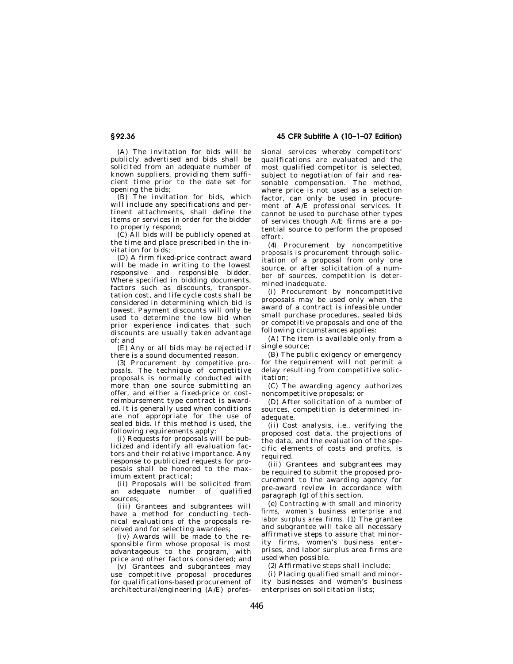**§ 92.36 45 CFR Subtitle A (10–1–07 Edition)** 

(A) The invitation for bids will be publicly advertised and bids shall be solicited from an adequate number of known suppliers, providing them sufficient time prior to the date set for opening the bids;

(B) The invitation for bids, which will include any specifications and pertinent attachments, shall define the items or services in order for the bidder to properly respond;

(C) All bids will be publicly opened at the time and place prescribed in the invitation for bids;

(D) A firm fixed-price contract award will be made in writing to the lowest responsive and responsible bidder. Where specified in bidding documents, factors such as discounts, transportation cost, and life cycle costs shall be considered in determining which bid is lowest. Payment discounts will only be used to determine the low bid when prior experience indicates that such discounts are usually taken advantage of; and

(E) Any or all bids may be rejected if there is a sound documented reason.

(3) Procurement by *competitive proposals.* The technique of competitive proposals is normally conducted with more than one source submitting an offer, and either a fixed-price or costreimbursement type contract is awarded. It is generally used when conditions are not appropriate for the use of sealed bids. If this method is used, the following requirements apply:

(i) Requests for proposals will be publicized and identify all evaluation factors and their relative importance. Any response to publicized requests for proposals shall be honored to the maximum extent practical;

(ii) Proposals will be solicited from an adequate number of qualified sources;

(iii) Grantees and subgrantees will have a method for conducting technical evaluations of the proposals received and for selecting awardees;

(iv) Awards will be made to the responsible firm whose proposal is most advantageous to the program, with price and other factors considered; and

(v) Grantees and subgrantees may use competitive proposal procedures for qualifications-based procurement of architectural/engineering (A/E) professional services whereby competitors' qualifications are evaluated and the most qualified competitor is selected, subject to negotiation of fair and reasonable compensation. The method, where price is not used as a selection factor, can only be used in procurement of A/E professional services. It cannot be used to purchase other types of services though A/E firms are a potential source to perform the proposed effort.

(4) Procurement by *noncompetitive proposals* is procurement through solicitation of a proposal from only one source, or after solicitation of a number of sources, competition is determined inadequate.

(i) Procurement by noncompetitive proposals may be used only when the award of a contract is infeasible under small purchase procedures, sealed bids or competitive proposals and one of the following circumstances applies:

(A) The item is available only from a single source;

(B) The public exigency or emergency for the requirement will not permit a delay resulting from competitive solicitation;

(C) The awarding agency authorizes noncompetitive proposals; or

(D) After solicitation of a number of sources, competition is determined inadequate.

(ii) Cost analysis, i.e., verifying the proposed cost data, the projections of the data, and the evaluation of the specific elements of costs and profits, is required.

(iii) Grantees and subgrantees may be required to submit the proposed procurement to the awarding agency for pre-award review in accordance with paragraph (g) of this section.

(e) *Contracting with small and minority firms, women's business enterprise and labor surplus area firms.* (1) The grantee and subgrantee will take all necessary affirmative steps to assure that minority firms, women's business enterprises, and labor surplus area firms are used when possible.

(2) Affirmative steps shall include:

(i) Placing qualified small and minority businesses and women's business enterprises on solicitation lists;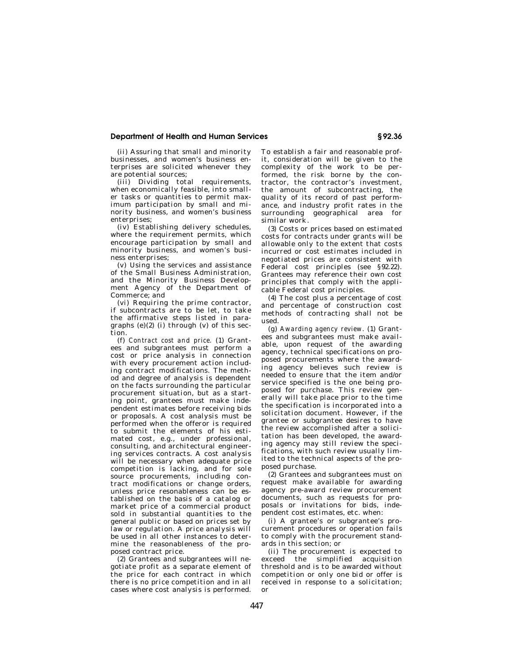(ii) Assuring that small and minority businesses, and women's business enterprises are solicited whenever they are potential sources;

(iii) Dividing total requirements, when economically feasible, into smaller tasks or quantities to permit maximum participation by small and minority business, and women's business enterprises;

(iv) Establishing delivery schedules, where the requirement permits, which encourage participation by small and minority business, and women's business enterprises;

(v) Using the services and assistance of the Small Business Administration, and the Minority Business Development Agency of the Department of Commerce; and

(vi) Requiring the prime contractor, if subcontracts are to be let, to take the affirmative steps listed in paragraphs  $(e)(2)$  (i) through  $(v)$  of this section.

(f) *Contract cost and price.* (1) Grantees and subgrantees must perform a cost or price analysis in connection with every procurement action including contract modifications. The method and degree of analysis is dependent on the facts surrounding the particular procurement situation, but as a starting point, grantees must make independent estimates before receiving bids or proposals. A cost analysis must be performed when the offeror is required to submit the elements of his estimated cost, e.g., under professional, consulting, and architectural engineering services contracts. A cost analysis will be necessary when adequate price competition is lacking, and for sole source procurements, including contract modifications or change orders, unless price resonableness can be established on the basis of a catalog or market price of a commercial product sold in substantial quantities to the general public or based on prices set by law or regulation. A price analysis will be used in all other instances to determine the reasonableness of the proposed contract price.

(2) Grantees and subgrantees will negotiate profit as a separate element of the price for each contract in which there is no price competition and in all cases where cost analysis is performed.

To establish a fair and reasonable profit, consideration will be given to the complexity of the work to be performed, the risk borne by the contractor, the contractor's investment, the amount of subcontracting, the quality of its record of past performance, and industry profit rates in the surrounding geographical area for similar work.

(3) Costs or prices based on estimated costs for contracts under grants will be allowable only to the extent that costs incurred or cost estimates included in negotiated prices are consistent with Federal cost principles (see §92.22). Grantees may reference their own cost principles that comply with the applicable Federal cost principles.

(4) The cost plus a percentage of cost and percentage of construction cost methods of contracting shall not be used.

(g) *Awarding agency review.* (1) Grantees and subgrantees must make available, upon request of the awarding agency, technical specifications on proposed procurements where the awarding agency believes such review is needed to ensure that the item and/or service specified is the one being proposed for purchase. This review generally will take place prior to the time the specification is incorporated into a solicitation document. However, if the grantee or subgrantee desires to have the review accomplished after a solicitation has been developed, the awarding agency may still review the specifications, with such review usually limited to the technical aspects of the proposed purchase.

(2) Grantees and subgrantees must on request make available for awarding agency pre-award review procurement documents, such as requests for proposals or invitations for bids, independent cost estimates, etc. when:

(i) A grantee's or subgrantee's procurement procedures or operation fails to comply with the procurement standards in this section; or

(ii) The procurement is expected to exceed the simplified acquisition threshold and is to be awarded without competition or only one bid or offer is received in response to a solicitation; or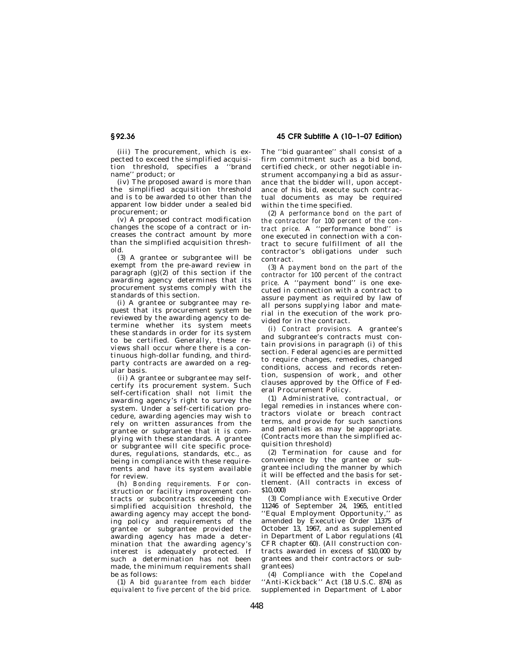**§ 92.36 45 CFR Subtitle A (10–1–07 Edition)** 

(iii) The procurement, which is expected to exceed the simplified acquisition threshold, specifies a ''brand name'' product; or

(iv) The proposed award is more than the simplified acquisition threshold and is to be awarded to other than the apparent low bidder under a sealed bid procurement; or

(v) A proposed contract modification changes the scope of a contract or increases the contract amount by more than the simplified acquisition threshold.

(3) A grantee or subgrantee will be exempt from the pre-award review in paragraph  $(g)(2)$  of this section if the awarding agency determines that its procurement systems comply with the standards of this section.

(i) A grantee or subgrantee may request that its procurement system be reviewed by the awarding agency to determine whether its system meets these standards in order for its system to be certified. Generally, these reviews shall occur where there is a continuous high-dollar funding, and thirdparty contracts are awarded on a regular basis.

(ii) A grantee or subgrantee may selfcertify its procurement system. Such self-certification shall not limit the awarding agency's right to survey the system. Under a self-certification procedure, awarding agencies may wish to rely on written assurances from the grantee or subgrantee that it is complying with these standards. A grantee or subgrantee will cite specific procedures, regulations, standards, etc., as being in compliance with these requirements and have its system available for review.

(h) *Bonding requirements.* For construction or facility improvement contracts or subcontracts exceeding the simplified acquisition threshold, the awarding agency may accept the bonding policy and requirements of the grantee or subgrantee provided the awarding agency has made a determination that the awarding agency's interest is adequately protected. If such a determination has not been made, the minimum requirements shall be as follows:

(1) *A bid guarantee from each bidder equivalent to five percent of the bid price.*  The ''bid guarantee'' shall consist of a firm commitment such as a bid bond, certified check, or other negotiable instrument accompanying a bid as assurance that the bidder will, upon acceptance of his bid, execute such contractual documents as may be required within the time specified.

(2) *A performance bond on the part of the contractor for 100 percent of the contract price.* A ''performance bond'' is one executed in connection with a contract to secure fulfillment of all the contractor's obligations under such contract.

(3) *A payment bond on the part of the contractor for 100 percent of the contract price.* A ''payment bond'' is one executed in connection with a contract to assure payment as required by law of all persons supplying labor and material in the execution of the work provided for in the contract.

(i) *Contract provisions.* A grantee's and subgrantee's contracts must contain provisions in paragraph (i) of this section. Federal agencies are permitted to require changes, remedies, changed conditions, access and records retention, suspension of work, and other clauses approved by the Office of Federal Procurement Policy.

(1) Administrative, contractual, or legal remedies in instances where contractors violate or breach contract terms, and provide for such sanctions and penalties as may be appropriate. (Contracts more than the simplified acquisition threshold)

(2) Termination for cause and for convenience by the grantee or subgrantee including the manner by which it will be effected and the basis for settlement. (All contracts in excess of \$10,000)

(3) Compliance with Executive Order 11246 of September 24, 1965, entitled ''Equal Employment Opportunity,'' as amended by Executive Order 11375 of October 13, 1967, and as supplemented in Department of Labor regulations (41 CFR chapter 60). (All construction contracts awarded in excess of \$10,000 by grantees and their contractors or subgrantees)

(4) Compliance with the Copeland ''Anti-Kickback'' Act (18 U.S.C. 874) as supplemented in Department of Labor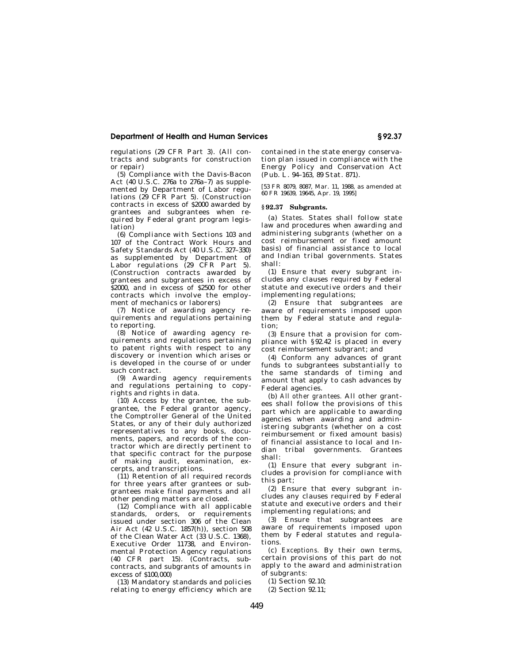regulations (29 CFR Part 3). (All contracts and subgrants for construction or repair)

(5) Compliance with the Davis-Bacon Act (40 U.S.C. 276a to 276a–7) as supplemented by Department of Labor regulations (29 CFR Part 5). (Construction contracts in excess of \$2000 awarded by grantees and subgrantees when required by Federal grant program legislation)

(6) Compliance with Sections 103 and 107 of the Contract Work Hours and Safety Standards Act (40 U.S.C. 327–330) as supplemented by Department of Labor regulations (29 CFR Part 5). (Construction contracts awarded by grantees and subgrantees in excess of \$2000, and in excess of \$2500 for other contracts which involve the employment of mechanics or laborers)

(7) Notice of awarding agency requirements and regulations pertaining to reporting.

(8) Notice of awarding agency requirements and regulations pertaining to patent rights with respect to any discovery or invention which arises or is developed in the course of or under such contract.

(9) Awarding agency requirements and regulations pertaining to copyrights and rights in data.

 $(10)$  Access by the grantee, the subgrantee, the Federal grantor agency, the Comptroller General of the United States, or any of their duly authorized representatives to any books, documents, papers, and records of the contractor which are directly pertinent to that specific contract for the purpose of making audit, examination, excerpts, and transcriptions.

(11) Retention of all required records for three years after grantees or subgrantees make final payments and all other pending matters are closed.

(12) Compliance with all applicable standards, orders, or requirements issued under section 306 of the Clean Air Act (42 U.S.C. 1857(h)), section 508 of the Clean Water Act (33 U.S.C. 1368), Executive Order 11738, and Environmental Protection Agency regulations (40 CFR part 15). (Contracts, subcontracts, and subgrants of amounts in  $excess of $100,000$ 

(13) Mandatory standards and policies relating to energy efficiency which are contained in the state energy conservation plan issued in compliance with the Energy Policy and Conservation Act (Pub. L. 94–163, 89 Stat. 871).

[53 FR 8079, 8087, Mar. 11, 1988, as amended at 60 FR 19639, 19645, Apr. 19, 1995]

### **§ 92.37 Subgrants.**

(a) *States.* States shall follow state law and procedures when awarding and administering subgrants (whether on a cost reimbursement or fixed amount basis) of financial assistance to local and Indian tribal governments. States shall:

(1) Ensure that every subgrant includes any clauses required by Federal statute and executive orders and their implementing regulations;

(2) Ensure that subgrantees are aware of requirements imposed upon them by Federal statute and regulation;

(3) Ensure that a provision for compliance with §92.42 is placed in every cost reimbursement subgrant; and

(4) Conform any advances of grant funds to subgrantees substantially to the same standards of timing and amount that apply to cash advances by Federal agencies.

(b) *All other grantees.* All other grantees shall follow the provisions of this part which are applicable to awarding agencies when awarding and administering subgrants (whether on a cost reimbursement or fixed amount basis) of financial assistance to local and Indian tribal governments. Grantees shall:

(1) Ensure that every subgrant includes a provision for compliance with this part;

(2) Ensure that every subgrant includes any clauses required by Federal statute and executive orders and their implementing regulations; and

(3) Ensure that subgrantees are aware of requirements imposed upon them by Federal statutes and regulations.

(c) *Exceptions.* By their own terms, certain provisions of this part do not apply to the award and administration of subgrants:

(1) Section 92.10;

(2) Section 92.11;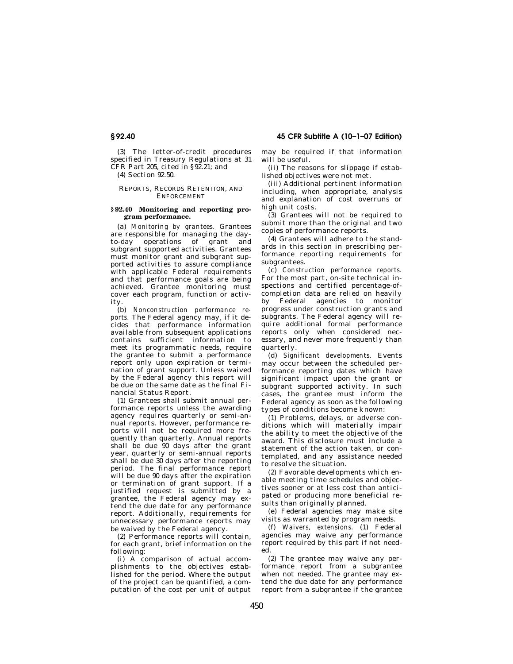(3) The letter-of-credit procedures specified in Treasury Regulations at 31 CFR Part 205, cited in §92.21; and (4) Section 92.50.

REPORTS, RECORDS RETENTION, AND ENFORCEMENT

### **§ 92.40 Monitoring and reporting program performance.**

(a) *Monitoring by grantees.* Grantees are responsible for managing the dayto-day operations of grant and subgrant supported activities. Grantees must monitor grant and subgrant supported activities to assure compliance with applicable Federal requirements and that performance goals are being achieved. Grantee monitoring must cover each program, function or activity.

(b) *Nonconstruction performance reports.* The Federal agency may, if it decides that performance information available from subsequent applications contains sufficient information to meet its programmatic needs, require the grantee to submit a performance report only upon expiration or termination of grant support. Unless waived by the Federal agency this report will be due on the same date as the final Financial Status Report.

(1) Grantees shall submit annual performance reports unless the awarding agency requires quarterly or semi-annual reports. However, performance reports will not be required more frequently than quarterly. Annual reports shall be due 90 days after the grant year, quarterly or semi-annual reports shall be due 30 days after the reporting period. The final performance report will be due 90 days after the expiration or termination of grant support. If a justified request is submitted by a grantee, the Federal agency may extend the due date for any performance report. Additionally, requirements for unnecessary performance reports may be waived by the Federal agency.

(2) Performance reports will contain, for each grant, brief information on the following:

(i) A comparison of actual accomplishments to the objectives established for the period. Where the output of the project can be quantified, a computation of the cost per unit of output may be required if that information will be useful.

(ii) The reasons for slippage if established objectives were not met.

(iii) Additional pertinent information including, when appropriate, analysis and explanation of cost overruns or high unit costs.

(3) Grantees will not be required to submit more than the original and two copies of performance reports.

(4) Grantees will adhere to the standards in this section in prescribing performance reporting requirements for subgrantees.

(c) *Construction performance reports.*  For the most part, on-site technical inspections and certified percentage-ofcompletion data are relied on heavily by Federal agencies to monitor progress under construction grants and subgrants. The Federal agency will require additional formal performance reports only when considered necessary, and never more frequently than quarterly.

(d) *Significant developments.* Events may occur between the scheduled performance reporting dates which have significant impact upon the grant or subgrant supported activity. In such cases, the grantee must inform the Federal agency as soon as the following types of conditions become known:

(1) Problems, delays, or adverse conditions which will materially impair the ability to meet the objective of the award. This disclosure must include a statement of the action taken, or contemplated, and any assistance needed to resolve the situation.

(2) Favorable developments which enable meeting time schedules and objectives sooner or at less cost than anticipated or producing more beneficial results than originally planned.

(e) Federal agencies may make site visits as warranted by program needs.

(f) *Waivers, extensions.* (1) Federal agencies may waive any performance report required by this part if not needed.

(2) The grantee may waive any performance report from a subgrantee when not needed. The grantee may extend the due date for any performance report from a subgrantee if the grantee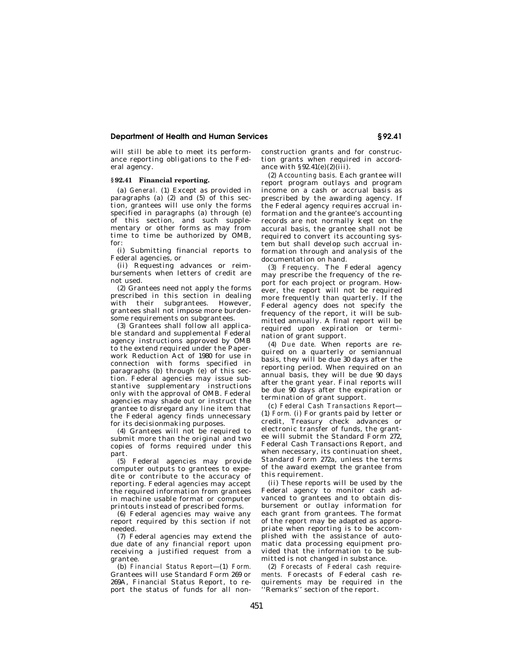will still be able to meet its performance reporting obligations to the Federal agency.

### **§ 92.41 Financial reporting.**

(a) *General.* (1) Except as provided in paragraphs (a)  $(2)$  and  $(5)$  of this section, grantees will use only the forms specified in paragraphs (a) through (e) of this section, and such supplementary or other forms as may from time to time be authorized by OMB, for:

(i) Submitting financial reports to Federal agencies, or

(ii) Requesting advances or reimbursements when letters of credit are not used.

(2) Grantees need not apply the forms prescribed in this section in dealing with their subgrantees. However, grantees shall not impose more burdensome requirements on subgrantees.

(3) Grantees shall follow all applicable standard and supplemental Federal agency instructions approved by OMB to the extend required under the Paperwork Reduction Act of 1980 for use in connection with forms specified in paragraphs (b) through (e) of this section. Federal agencies may issue substantive supplementary instructions only with the approval of OMB. Federal agencies may shade out or instruct the grantee to disregard any line item that the Federal agency finds unnecessary for its decisionmaking purposes.

(4) Grantees will not be required to submit more than the original and two copies of forms required under this part.

(5) Federal agencies may provide computer outputs to grantees to expedite or contribute to the accuracy of reporting. Federal agencies may accept the required information from grantees in machine usable format or computer printouts instead of prescribed forms.

(6) Federal agencies may waive any report required by this section if not needed.

(7) Federal agencies may extend the due date of any financial report upon receiving a justified request from a grantee.

(b) *Financial Status Report*—(1) *Form.*  Grantees will use Standard Form 269 or 269A, Financial Status Report, to report the status of funds for all nonconstruction grants and for construction grants when required in accordance with  $\S 92.41(e)(2)(iii)$ .

(2) *Accounting basis.* Each grantee will report program outlays and program income on a cash or accrual basis as prescribed by the awarding agency. If the Federal agency requires accrual information and the grantee's accounting records are not normally kept on the accural basis, the grantee shall not be required to convert its accounting system but shall develop such accrual information through and analysis of the documentation on hand.

(3) *Frequency.* The Federal agency may prescribe the frequency of the report for each project or program. However, the report will not be required more frequently than quarterly. If the Federal agency does not specify the frequency of the report, it will be submitted annually. A final report will be required upon expiration or termination of grant support.

(4) *Due date.* When reports are required on a quarterly or semiannual basis, they will be due 30 days after the reporting period. When required on an annual basis, they will be due 90 days after the grant year. Final reports will be due 90 days after the expiration or termination of grant support.

(c) *Federal Cash Transactions Report*— (1) *Form.* (i) For grants paid by letter or credit, Treasury check advances or electronic transfer of funds, the grantee will submit the Standard Form 272, Federal Cash Transactions Report, and when necessary, its continuation sheet, Standard Form 272a, unless the terms of the award exempt the grantee from this requirement.

(ii) These reports will be used by the Federal agency to monitor cash advanced to grantees and to obtain disbursement or outlay information for each grant from grantees. The format of the report may be adapted as appropriate when reporting is to be accomplished with the assistance of automatic data processing equipment provided that the information to be submitted is not changed in substance.

(2) *Forecasts of Federal cash requirements.* Forecasts of Federal cash requirements may be required in the Remarks" section of the report.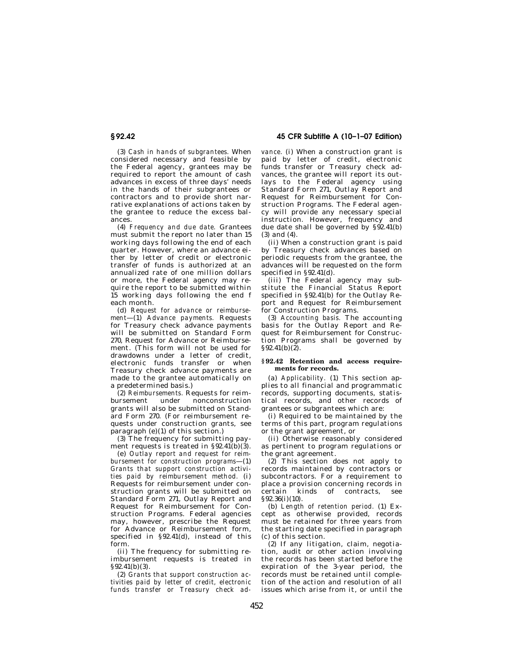(3) *Cash in hands of subgrantees.* When considered necessary and feasible by the Federal agency, grantees may be required to report the amount of cash advances in excess of three days' needs in the hands of their subgrantees or contractors and to provide short narrative explanations of actions taken by the grantee to reduce the excess balances.

(4) *Frequency and due date.* Grantees must submit the report no later than 15 working days following the end of each quarter. However, where an advance either by letter of credit or electronic transfer of funds is authorized at an annualized rate of one million dollars or more, the Federal agency may require the report to be submitted within 15 working days following the end f each month.

(d) *Request for advance or reimbursement*—(1) *Advance payments.* Requests for Treasury check advance payments will be submitted on Standard Form 270, Request for Advance or Reimbursement. (This form will not be used for drawdowns under a letter of credit, electronic funds transfer or when Treasury check advance payments are made to the grantee automatically on a predetermined basis.)

(2) *Reimbursements.* Requests for reimbursement under grants will also be submitted on Standard Form 270. (For reimbursement requests under construction grants, see paragraph (e)(1) of this section.)

(3) The frequency for submitting payment requests is treated in  $\S 92.41(b)(3)$ .

(e) *Outlay report and request for reimbursement for construction programs*—(1) *Grants that support construction activities paid by reimbursement method.* (i) Requests for reimbursement under construction grants will be submitted on Standard Form 271, Outlay Report and Request for Reimbursement for Construction Programs. Federal agencies may, however, prescribe the Request for Advance or Reimbursement form, specified in §92.41(d), instead of this form.

(ii) The frequency for submitting reimbursement requests is treated in §92.41(b)(3).

(2) *Grants that support construction activities paid by letter of credit, electronic funds transfer or Treasury check ad-*

**§ 92.42 45 CFR Subtitle A (10–1–07 Edition)** 

*vance.* (i) When a construction grant is paid by letter of credit, electronic funds transfer or Treasury check advances, the grantee will report its outlays to the Federal agency using Standard Form 271, Outlay Report and Request for Reimbursement for Construction Programs. The Federal agency will provide any necessary special instruction. However, frequency and due date shall be governed by §92.41(b) (3) and (4).

(ii) When a construction grant is paid by Treasury check advances based on periodic requests from the grantee, the advances will be requested on the form specified in §92.41(d).

(iii) The Federal agency may substitute the Financial Status Report specified in §92.41(b) for the Outlay Report and Request for Reimbursement for Construction Programs.

(3) *Accounting basis.* The accounting basis for the Outlay Report and Request for Reimbursement for Construction Programs shall be governed by  $§ 92.41(b)(2)$ .

### **§ 92.42 Retention and access requirements for records.**

(a) *Applicability.* (1) This section applies to all financial and programmatic records, supporting documents, statistical records, and other records of grantees or subgrantees which are:

(i) Required to be maintained by the terms of this part, program regulations or the grant agreement, or

(ii) Otherwise reasonably considered as pertinent to program regulations or the grant agreement.

(2) This section does not apply to records maintained by contractors or subcontractors. For a requirement to place a provision concerning records in certain kinds of contracts, see §92.36(i)(10).

(b) *Length of retention period.* (1) Except as otherwise provided, records must be retained for three years from the starting date specified in paragraph (c) of this section.

(2) If any litigation, claim, negotiation, audit or other action involving the records has been started before the expiration of the 3-year period, the records must be retained until completion of the action and resolution of all issues which arise from it, or until the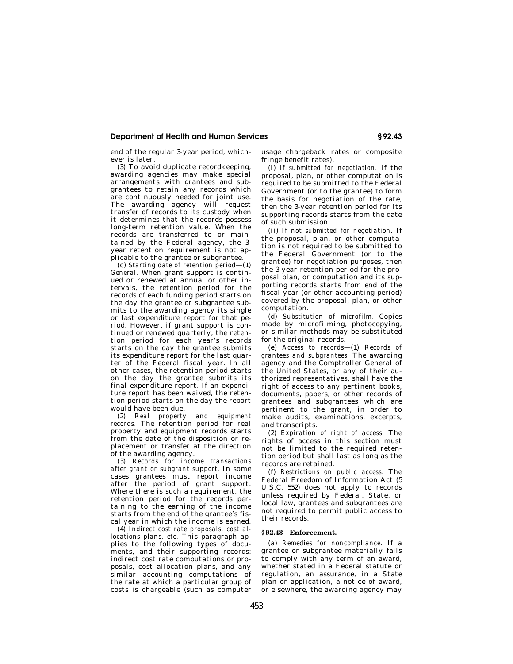end of the regular 3-year period, whichever is later.

(3) To avoid duplicate recordkeeping, awarding agencies may make special arrangements with grantees and subgrantees to retain any records which are continuously needed for joint use. The awarding agency will request transfer of records to its custody when it determines that the records possess long-term retention value. When the records are transferred to or maintained by the Federal agency, the 3 year retention requirement is not applicable to the grantee or subgrantee.

(c) *Starting date of retention period*—(1) *General.* When grant support is continued or renewed at annual or other intervals, the retention period for the records of each funding period starts on the day the grantee or subgrantee submits to the awarding agency its single or last expenditure report for that period. However, if grant support is continued or renewed quarterly, the retention period for each year's records starts on the day the grantee submits its expenditure report for the last quarter of the Federal fiscal year. In all other cases, the retention period starts on the day the grantee submits its final expenditure report. If an expenditure report has been waived, the retention period starts on the day the report would have been due.

(2) *Real property and equipment records.* The retention period for real property and equipment records starts from the date of the disposition or replacement or transfer at the direction of the awarding agency.

(3) *Records for income transactions after grant or subgrant support.* In some cases grantees must report income after the period of grant support. Where there is such a requirement, the retention period for the records pertaining to the earning of the income starts from the end of the grantee's fiscal year in which the income is earned.

(4) *Indirect cost rate proposals, cost allocations plans, etc.* This paragraph applies to the following types of documents, and their supporting records: indirect cost rate computations or proposals, cost allocation plans, and any similar accounting computations of the rate at which a particular group of costs is chargeable (such as computer

usage chargeback rates or composite fringe benefit rates).

(i) *If submitted for negotiation.* If the proposal, plan, or other computation is required to be submitted to the Federal Government (or to the grantee) to form the basis for negotiation of the rate, then the 3-year retention period for its supporting records starts from the date of such submission.

(ii) *If not submitted for negotiation.* If the proposal, plan, or other computation is not required to be submitted to the Federal Government (or to the grantee) for negotiation purposes, then the 3-year retention period for the proposal plan, or computation and its supporting records starts from end of the fiscal year (or other accounting period) covered by the proposal, plan, or other computation.

(d) *Substitution of microfilm.* Copies made by microfilming, photocopying, or similar methods may be substituted for the original records.

(e) *Access to records*—(1) *Records of grantees and subgrantees.* The awarding agency and the Comptroller General of the United States, or any of their authorized representatives, shall have the right of access to any pertinent books, documents, papers, or other records of grantees and subgrantees which are pertinent to the grant, in order to make audits, examinations, excerpts, and transcripts.

(2) *Expiration of right of access.* The rights of access in this section must not be limited to the required retention period but shall last as long as the records are retained.

(f) *Restrictions on public access.* The Federal Freedom of Information Act (5 U.S.C. 552) does not apply to records unless required by Federal, State, or local law, grantees and subgrantees are not required to permit public access to their records.

### **§ 92.43 Enforcement.**

(a) *Remedies for noncompliance.* If a grantee or subgrantee materially fails to comply with any term of an award, whether stated in a Federal statute or regulation, an assurance, in a State plan or application, a notice of award, or elsewhere, the awarding agency may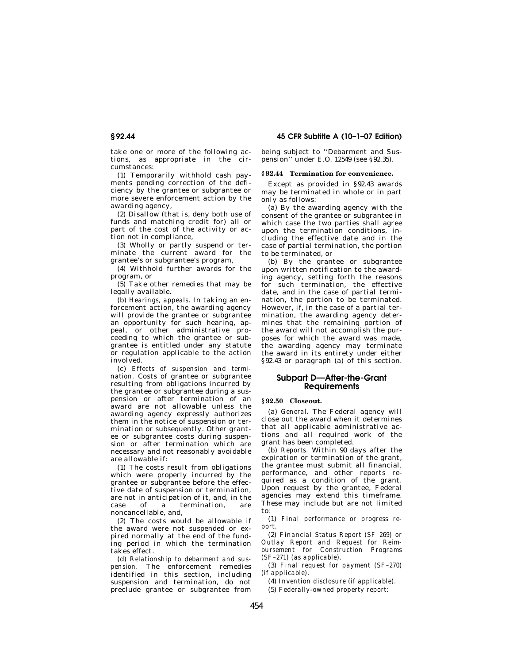take one or more of the following actions, as appropriate in the  $cir$ cumstances:

(1) Temporarily withhold cash payments pending correction of the deficiency by the grantee or subgrantee or more severe enforcement action by the awarding agency,

(2) Disallow (that is, deny both use of funds and matching credit for) all or part of the cost of the activity or action not in compliance,

(3) Wholly or partly suspend or terminate the current award for the grantee's or subgrantee's program,

(4) Withhold further awards for the program, or

(5) Take other remedies that may be legally available.

(b) *Hearings, appeals.* In taking an enforcement action, the awarding agency will provide the grantee or subgrantee an opportunity for such hearing, appeal, or other administrative proceeding to which the grantee or subgrantee is entitled under any statute or regulation applicable to the action involved.

(c) *Effects of suspension and termination.* Costs of grantee or subgrantee resulting from obligations incurred by the grantee or subgrantee during a suspension or after termination of an award are not allowable unless the awarding agency expressly authorizes them in the notice of suspension or termination or subsequently. Other grantee or subgrantee costs during suspension or after termination which are necessary and not reasonably avoidable are allowable if:

(1) The costs result from obligations which were properly incurred by the grantee or subgrantee before the effective date of suspension or termination, are not in anticipation of it, and, in the case of a termination, are noncancellable, and,

(2) The costs would be allowable if the award were not suspended or expired normally at the end of the funding period in which the termination takes effect.

(d) *Relationship to debarment and suspension.* The enforcement remedies identified in this section, including suspension and termination, do not preclude grantee or subgrantee from

**§ 92.44 45 CFR Subtitle A (10–1–07 Edition)** 

being subject to ''Debarment and Suspension'' under E.O. 12549 (see §92.35).

### **§ 92.44 Termination for convenience.**

Except as provided in §92.43 awards may be terminated in whole or in part only as follows:

(a) By the awarding agency with the consent of the grantee or subgrantee in which case the two parties shall agree upon the termination conditions, including the effective date and in the case of partial termination, the portion to be terminated, or

(b) By the grantee or subgrantee upon written notification to the awarding agency, setting forth the reasons for such termination, the effective date, and in the case of partial termination, the portion to be terminated. However, if, in the case of a partial termination, the awarding agency determines that the remaining portion of the award will not accomplish the purposes for which the award was made, the awarding agency may terminate the award in its entirety under either §92.43 or paragraph (a) of this section.

### **Subpart D—After-the-Grant Requirements**

### **§ 92.50 Closeout.**

(a) *General.* The Federal agency will close out the award when it determines that all applicable administrative actions and all required work of the grant has been completed.

(b) *Reports.* Within 90 days after the expiration or termination of the grant, the grantee must submit all financial, performance, and other reports required as a condition of the grant. Upon request by the grantee, Federal agencies may extend this timeframe. These may include but are not limited to:

(1) *Final performance or progress report.* 

(2) *Financial Status Report (SF 269) or Outlay Report and Request for Reimbursement for Construction Programs (SF–271) (as applicable).* 

(3) *Final request for payment (SF–270) (if applicable).* 

(4) *Invention disclosure (if applicable).* 

(5) *Federally-owned property report:*